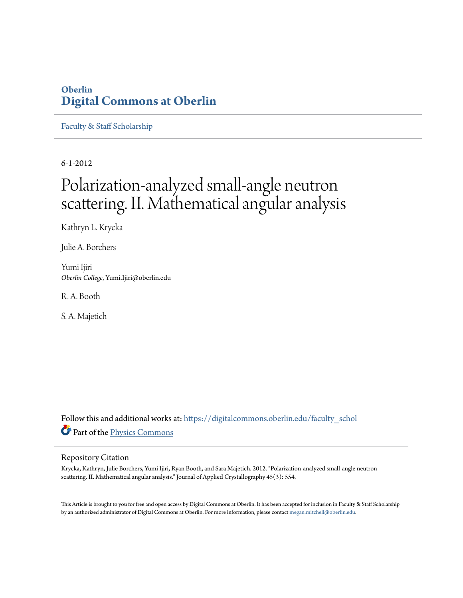### **Oberlin [Digital Commons at Oberlin](https://digitalcommons.oberlin.edu?utm_source=digitalcommons.oberlin.edu%2Ffaculty_schol%2F1696&utm_medium=PDF&utm_campaign=PDFCoverPages)**

[Faculty & Staff Scholarship](https://digitalcommons.oberlin.edu/faculty_schol?utm_source=digitalcommons.oberlin.edu%2Ffaculty_schol%2F1696&utm_medium=PDF&utm_campaign=PDFCoverPages)

6-1-2012

# Polarization-analyzed small-angle neutron scattering. II. Mathematical angular analysis

Kathryn L. Krycka

Julie A. Borchers

Yumi Ijiri *Oberlin College*, Yumi.Ijiri@oberlin.edu

R. A. Booth

S. A. Majetich

Follow this and additional works at: [https://digitalcommons.oberlin.edu/faculty\\_schol](https://digitalcommons.oberlin.edu/faculty_schol?utm_source=digitalcommons.oberlin.edu%2Ffaculty_schol%2F1696&utm_medium=PDF&utm_campaign=PDFCoverPages) Part of the [Physics Commons](http://network.bepress.com/hgg/discipline/193?utm_source=digitalcommons.oberlin.edu%2Ffaculty_schol%2F1696&utm_medium=PDF&utm_campaign=PDFCoverPages)

#### Repository Citation

Krycka, Kathryn, Julie Borchers, Yumi Ijiri, Ryan Booth, and Sara Majetich. 2012. "Polarization-analyzed small-angle neutron scattering. II. Mathematical angular analysis." Journal of Applied Crystallography 45(3): 554.

This Article is brought to you for free and open access by Digital Commons at Oberlin. It has been accepted for inclusion in Faculty & Staff Scholarship by an authorized administrator of Digital Commons at Oberlin. For more information, please contact [megan.mitchell@oberlin.edu.](mailto:megan.mitchell@oberlin.edu)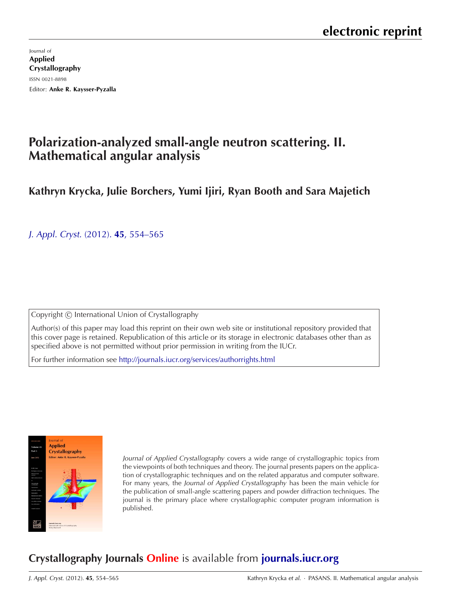Journal of Applied Crystallography ISSN 0021-8898 Editor: [Anke R. Kaysser-Pyzalla](http://journals.iucr.org/j/)

# **Polarization-analyzed small-angle neutron scattering. II. Mathematical angular analysis**

**Kathryn Krycka, Julie Borchers, Yumi Ijiri, Ryan Booth and Sara Majetich**

J. Appl. Cryst. (2012). **45**[, 554–565](http://dx.doi.org/10.1107/S0021889812010114)

Copyright © International Union of Crystallography

Author(s) of this paper may load this reprint on their own web site or institutional repository provided that this cover page is retained. Republication of this article or its storage in electronic databases other than as specified above is not permitted without prior permission in writing from the IUCr.

For further information see <http://journals.iucr.org/services/authorrights.html>



Journal of Applied Crystallography covers a wide range of crystallographic topics from the viewpoints of both techniques and theory. The journal presents papers on the application of crystallographic techniques and on the related apparatus and computer software. For many years, the Journal of Applied Crystallography has been the main vehicle for the publication of small-angle scattering papers and powder diffraction techniques. The journal is the primary place where crystallographic computer program information is published.

# **Crystallography Journals Online** is available from **[journals.iucr.org](http://journals.iucr.org)**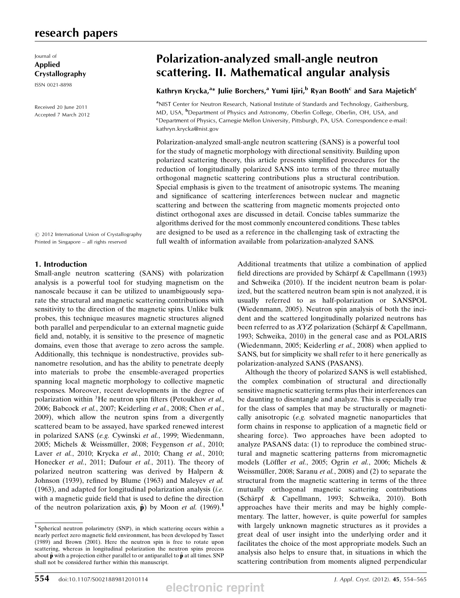### research papers

Journal of Applied Crystallography

ISSN 0021-8898

Received 20 June 2011 Accepted 7 March 2012

## Polarization-analyzed small-angle neutron scattering. II. Mathematical angular analysis

### Kathryn Krycka,<sup>a</sup>\* Julie Borchers,<sup>a</sup> Yumi Ijiri,<sup>b</sup> Ryan Booth<sup>c</sup> and Sara Majetich<sup>c</sup>

<sup>a</sup>NIST Center for Neutron Research, National Institute of Standards and Technology, Gaithersburg, MD, USA, <sup>b</sup>Department of Physics and Astronomy, Oberlin College, Oberlin, OH, USA, and <sup>c</sup>Department of Physics, Carnegie Mellon University, Pittsburgh, PA, USA. Correspondence e-mail: kathryn.krycka@nist.gov

Polarization-analyzed small-angle neutron scattering (SANS) is a powerful tool for the study of magnetic morphology with directional sensitivity. Building upon polarized scattering theory, this article presents simplified procedures for the reduction of longitudinally polarized SANS into terms of the three mutually orthogonal magnetic scattering contributions plus a structural contribution. Special emphasis is given to the treatment of anisotropic systems. The meaning and significance of scattering interferences between nuclear and magnetic scattering and between the scattering from magnetic moments projected onto distinct orthogonal axes are discussed in detail. Concise tables summarize the algorithms derived for the most commonly encountered conditions. These tables are designed to be used as a reference in the challenging task of extracting the full wealth of information available from polarization-analyzed SANS.

 $\circ$  2012 International Union of Crystallography Printed in Singapore – all rights reserved

#### 1. Introduction

Small-angle neutron scattering (SANS) with polarization analysis is a powerful tool for studying magnetism on the nanoscale because it can be utilized to unambiguously separate the structural and magnetic scattering contributions with sensitivity to the direction of the magnetic spins. Unlike bulk probes, this technique measures magnetic structures aligned both parallel and perpendicular to an external magnetic guide field and, notably, it is sensitive to the presence of magnetic domains, even those that average to zero across the sample. Additionally, this technique is nondestructive, provides subnanometre resolution, and has the ability to penetrate deeply into materials to probe the ensemble-averaged properties spanning local magnetic morphology to collective magnetic responses. Moreover, recent developments in the degree of polarization within  ${}^{3}$ He neutron spin filters (Petoukhov et al., 2006; Babcock et al., 2007; Keiderling et al., 2008; Chen et al., 2009), which allow the neutron spins from a divergently scattered beam to be assayed, have sparked renewed interest in polarized SANS (e.g. Cywinski et al., 1999; Wiedenmann, 2005; Michels & Weissmüller, 2008; Feygenson et al., 2010; Laver et al., 2010; Krycka et al., 2010; Chang et al., 2010; Honecker et al., 2011; Dufour et al., 2011). The theory of polarized neutron scattering was derived by Halpern & Johnson (1939), refined by Blume (1963) and Maleyev et al.  $(1963)$ , and adapted for longitudinal polarization analysis *(i.e.*) with a magnetic guide field that is used to define the direction of the neutron polarization axis,  $\hat{\mathbf{p}}$ ) by Moon *et al.* (1969).<sup>1</sup>

Additional treatments that utilize a combination of applied field directions are provided by Schärpf & Capellmann (1993) and Schweika (2010). If the incident neutron beam is polarized, but the scattered neutron beam spin is not analyzed, it is usually referred to as half-polarization or SANSPOL (Wiedenmann, 2005). Neutron spin analysis of both the incident and the scattered longitudinally polarized neutrons has been referred to as  $XYZ$  polarization (Schärpf & Capellmann, 1993; Schweika, 2010) in the general case and as POLARIS (Wiedenmann, 2005; Keiderling et al., 2008) when applied to SANS, but for simplicity we shall refer to it here generically as polarization-analyzed SANS (PASANS).

Although the theory of polarized SANS is well established, the complex combination of structural and directionally sensitive magnetic scattering terms plus their interferences can be daunting to disentangle and analyze. This is especially true for the class of samples that may be structurally or magnetically anisotropic (e.g. solvated magnetic nanoparticles that form chains in response to application of a magnetic field or shearing force). Two approaches have been adopted to analyze PASANS data: (1) to reproduce the combined structural and magnetic scattering patterns from micromagnetic models (Löffler et al., 2005; Ogrin et al., 2006; Michels & Weissmüller, 2008; Saranu et al., 2008) and (2) to separate the structural from the magnetic scattering in terms of the three mutually orthogonal magnetic scattering contributions (Schärpf & Capellmann, 1993; Schweika, 2010). Both approaches have their merits and may be highly complementary. The latter, however, is quite powerful for samples with largely unknown magnetic structures as it provides a great deal of user insight into the underlying order and it facilitates the choice of the most appropriate models. Such an analysis also helps to ensure that, in situations in which the scattering contribution from moments aligned perpendicular

<sup>1</sup> Spherical neutron polarimetry (SNP), in which scattering occurs within a nearly perfect zero magnetic field environment, has been developed by Tasset (1989) and Brown (2001). Here the neutron spin is free to rotate upon scattering, whereas in longitudinal polarization the neutron spins precess about  $\hat{\bf p}$  with a projection either parallel to or antiparallel to  $\hat{\bf p}$  at all times. SNP shall not be considered further within this manuscript.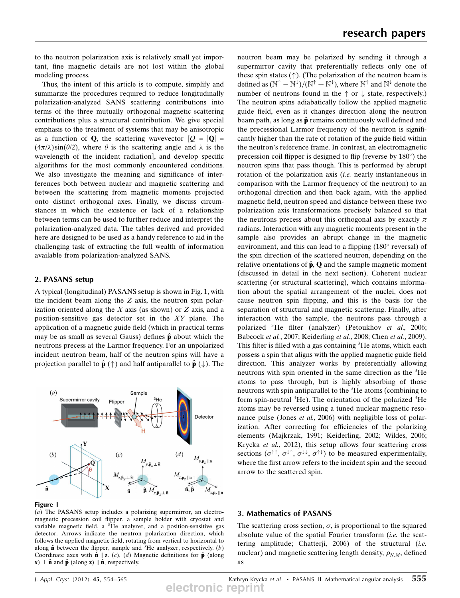to the neutron polarization axis is relatively small yet important, fine magnetic details are not lost within the global modeling process.

Thus, the intent of this article is to compute, simplify and summarize the procedures required to reduce longitudinally polarization-analyzed SANS scattering contributions into terms of the three mutually orthogonal magnetic scattering contributions plus a structural contribution. We give special emphasis to the treatment of systems that may be anisotropic as a function of **Q**, the scattering wavevector  $[Q = |Q|$  $(4\pi/\lambda)\sin(\theta/2)$ , where  $\theta$  is the scattering angle and  $\lambda$  is the wavelength of the incident radiation], and develop specific algorithms for the most commonly encountered conditions. We also investigate the meaning and significance of interferences both between nuclear and magnetic scattering and between the scattering from magnetic moments projected onto distinct orthogonal axes. Finally, we discuss circumstances in which the existence or lack of a relationship between terms can be used to further reduce and interpret the polarization-analyzed data. The tables derived and provided here are designed to be used as a handy reference to aid in the challenging task of extracting the full wealth of information available from polarization-analyzed SANS.

#### 2. PASANS setup

A typical (longitudinal) PASANS setup is shown in Fig. 1, with the incident beam along the Z axis, the neutron spin polarization oriented along the  $X$  axis (as shown) or  $Z$  axis, and a position-sensitive gas detector set in the XY plane. The application of a magnetic guide field (which in practical terms may be as small as several Gauss) defines  $\hat{\mathbf{p}}$  about which the neutrons precess at the Larmor frequency. For an unpolarized incident neutron beam, half of the neutron spins will have a projection parallel to  $\hat{\mathbf{p}}$  ( $\uparrow$ ) and half antiparallel to  $\hat{\mathbf{p}}$  ( $\downarrow$ ). The



#### Figure 1

(a) The PASANS setup includes a polarizing supermirror, an electromagnetic precession coil flipper, a sample holder with cryostat and variable magnetic field, a  ${}^{3}$ He analyzer, and a position-sensitive gas detector. Arrows indicate the neutron polarization direction, which follows the applied magnetic field, rotating from vertical to horizontal to along  $\hat{\mathbf{n}}$  between the flipper, sample and <sup>3</sup>He analyzer, respectively. (b) Coordinate axes with  $\hat{\mathbf{n}} \parallel \mathbf{z}$ . (c), (d) Magnetic definitions for  $\hat{\mathbf{p}}$  (along  $\mathbf{x}) \perp \hat{\mathbf{n}}$  and  $\hat{\mathbf{p}}$  (along  $\mathbf{z}$ )  $\parallel \hat{\mathbf{n}}$ , respectively.

neutron beam may be polarized by sending it through a supermirror cavity that preferentially reflects only one of these spin states  $(\uparrow)$ . (The polarization of the neutron beam is defined as  $(N^{\dagger} - N^{\dagger})/(N^{\dagger} + N^{\dagger})$ , where  $N^{\dagger}$  and  $N^{\dagger}$  denote the number of neutrons found in the  $\uparrow$  or  $\downarrow$  state, respectively number of neutrons found in the  $\uparrow$  or  $\downarrow$  state, respectively.) The neutron spins adiabatically follow the applied magnetic guide field, even as it changes direction along the neutron beam path, as long as  $\hat{\mathbf{p}}$  remains continuously well defined and the precessional Larmor frequency of the neutron is significantly higher than the rate of rotation of the guide field within the neutron's reference frame. In contrast, an electromagnetic precession coil flipper is designed to flip (reverse by  $180^\circ$ ) the neutron spins that pass though. This is performed by abrupt rotation of the polarization axis *(i.e.* nearly instantaneous in comparison with the Larmor frequency of the neutron) to an orthogonal direction and then back again, with the applied magnetic field, neutron speed and distance between these two polarization axis transformations precisely balanced so that the neutrons precess about this orthogonal axis by exactly  $\pi$ radians. Interaction with any magnetic moments present in the sample also provides an abrupt change in the magnetic environment, and this can lead to a flipping  $(180^{\circ}$  reversal) of the spin direction of the scattered neutron, depending on the relative orientations of  $\hat{p}$ , Q and the sample magnetic moment (discussed in detail in the next section). Coherent nuclear scattering (or structural scattering), which contains information about the spatial arrangement of the nuclei, does not cause neutron spin flipping, and this is the basis for the separation of structural and magnetic scattering. Finally, after interaction with the sample, the neutrons pass through a polarized <sup>3</sup>He filter (analyzer) (Petoukhov et al., 2006; Babcock et al., 2007; Keiderling et al., 2008; Chen et al., 2009). This filter is filled with a gas containing  ${}^{3}$ He atoms, which each possess a spin that aligns with the applied magnetic guide field direction. This analyzer works by preferentially allowing neutrons with spin oriented in the same direction as the 3He atoms to pass through, but is highly absorbing of those neutrons with spin antiparallel to the  ${}^{3}$ He atoms (combining to form spin-neutral <sup>4</sup>He). The orientation of the polarized <sup>3</sup>He atoms may be reversed using a tuned nuclear magnetic resonance pulse (Jones et al., 2006) with negligible loss of polarization. After correcting for efficiencies of the polarizing elements (Majkrzak, 1991; Keiderling, 2002; Wildes, 2006; Krycka et al., 2012), this setup allows four scattering cross sections ( $\sigma^{\uparrow\uparrow}$ ,  $\sigma^{\downarrow\uparrow}$ ,  $\sigma^{\downarrow\downarrow}$ ,  $\sigma^{\uparrow\downarrow}$ ) to be measured experimentally, where the first arrow refers to the incident spin and the second arrow to the scattered spin.

#### 3. Mathematics of PASANS

The scattering cross section,  $\sigma$ , is proportional to the squared absolute value of the spatial Fourier transform  $(i.e.$  the scattering amplitude; Chatterji, 2006) of the structural (i.e. nuclear) and magnetic scattering length density,  $\rho_{N,M}$ , defined as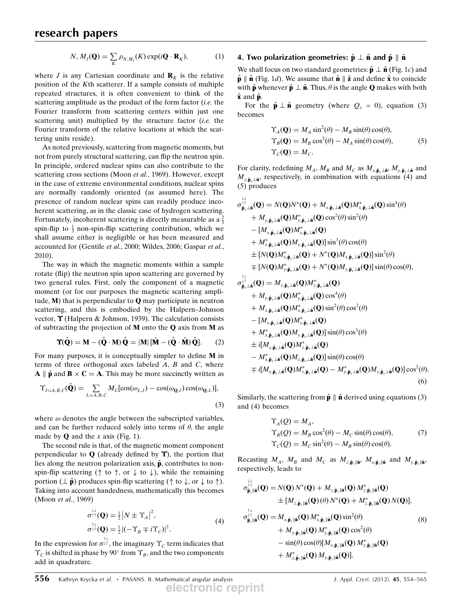$$
N, M_J(\mathbf{Q}) = \sum_K \rho_{N,M_J}(K) \exp(i\mathbf{Q} \cdot \mathbf{R}_K), \tag{1}
$$

where *J* is any Cartesian coordinate and  $\mathbf{R}_K$  is the relative position of the Kth scatterer. If a sample consists of multiple repeated structures, it is often convenient to think of the scattering amplitude as the product of the form factor *(i.e.* the Fourier transform from scattering centers within just one scattering unit) multiplied by the structure factor *(i.e.* the Fourier transform of the relative locations at which the scattering units reside).

As noted previously, scattering from magnetic moments, but not from purely structural scattering, can flip the neutron spin. In principle, ordered nuclear spins can also contribute to the scattering cross sections (Moon et al., 1969). However, except in the case of extreme environmental conditions, nuclear spins are normally randomly oriented (as assumed here). The presence of random nuclear spins can readily produce incoherent scattering, as in the classic case of hydrogen scattering. Fortunately, incoherent scattering is directly measurable as a  $\frac{2}{3}$ spin-flip to  $\frac{1}{3}$  non-spin-flip scattering contribution, which we shall assume either is negligible or has been measured and accounted for (Gentile et al., 2000; Wildes, 2006; Gaspar et al., 2010).

The way in which the magnetic moments within a sample rotate (flip) the neutron spin upon scattering are governed by two general rules. First, only the component of a magnetic moment (or for our purposes the magnetic scattering amplitude,  $M$ ) that is perpendicular to  $Q$  may participate in neutron scattering, and this is embodied by the Halpern–Johnson vector,  $\Upsilon$  (Halpern & Johnson, 1939). The calculation consists of subtracting the projection of  $M$  onto the  $Q$  axis from  $M$  as

$$
\Upsilon(\hat{\mathbf{Q}}) = \mathbf{M} - (\hat{\mathbf{Q}} \cdot \mathbf{M}) \hat{\mathbf{Q}} = |\mathbf{M}| [\hat{\mathbf{M}} - (\hat{\mathbf{Q}} \cdot \hat{\mathbf{M}}) \hat{\mathbf{Q}}].
$$
 (2)

For many purposes, it is conceptually simpler to define M in terms of three orthogonal axes labeled  $A$ ,  $B$  and  $C$ , where  $A \parallel \hat{\mathbf{p}}$  and  $B \times C = A$ . This may be more succinctly written as

$$
\Upsilon_{J=A,B,C}(\hat{\mathbf{Q}}) = \sum_{L=A,B,C} M_L[\cos(\omega_{L,J}) - \cos(\omega_{\mathbf{Q},J})\cos(\omega_{\mathbf{Q},L})],
$$
\n(3)

where  $\omega$  denotes the angle between the subscripted variables, and can be further reduced solely into terms of  $\theta$ , the angle made by  $Q$  and the x axis (Fig. 1).

The second rule is that, of the magnetic moment component perpendicular to  $Q$  (already defined by  $\Upsilon$ ), the portion that lies along the neutron polarization axis,  $\hat{\mathbf{p}}$ , contributes to nonspin-flip scattering ( $\uparrow$  to  $\uparrow$ , or  $\downarrow$  to  $\downarrow$ ), while the remaining portion ( $\perp \hat{\mathbf{p}}$ ) produces spin-flip scattering ( $\uparrow$  to  $\downarrow$ , or  $\downarrow$  to  $\uparrow$ ). Taking into account handedness, mathematically this becomes (Moon *et al.*, 1969)

$$
\sigma_{\uparrow\uparrow}^{\downarrow\downarrow}(\mathbf{Q}) = \frac{1}{2} |N \pm \Upsilon_A|^2,
$$
\n
$$
\sigma_{\uparrow\uparrow}^{\uparrow\downarrow}(\mathbf{Q}) = \frac{1}{2} |(-\Upsilon_B \mp i\Upsilon_C)|^2.
$$
\n(4)

In the expression for  $\sigma^{\downarrow\uparrow}$ , the imaginary  $\Upsilon_c$  term indicates that  $\Upsilon_c$  is shifted in phase by 90° from  $\Upsilon_B$ , and the two components add in quadrature.

#### 4. Two polarization geometries:  $\hat{\mathbf{p}} \perp \hat{\mathbf{n}}$  and  $\hat{\mathbf{p}} \parallel \hat{\mathbf{n}}$

We shall focus on two standard geometries:  $\hat{\mathbf{p}} \perp \hat{\mathbf{n}}$  (Fig. 1c) and  $\hat{\mathbf{p}} \parallel \hat{\mathbf{n}}$  (Fig. 1d). We assume that  $\hat{\mathbf{n}} \parallel \hat{\mathbf{z}}$  and define  $\hat{\mathbf{x}}$  to coincide with  $\hat{\mathbf{p}}$  whenever  $\hat{\mathbf{p}} \perp \hat{\mathbf{n}}$ . Thus,  $\theta$  is the angle **O** makes with both  $\hat{\mathbf{x}}$  and  $\hat{\mathbf{p}}$ .

For the  $\hat{\mathbf{p}} \perp \hat{\mathbf{n}}$  geometry (where  $Q_z = 0$ ), equation (3) becomes

$$
\begin{aligned} \Upsilon_A(\mathbf{Q}) &= M_A \sin^2(\theta) - M_B \sin(\theta) \cos(\theta), \\ \Upsilon_B(\mathbf{Q}) &= M_B \cos^2(\theta) - M_A \sin(\theta) \cos(\theta), \\ \Upsilon_C(\mathbf{Q}) &= M_C. \end{aligned} \tag{5}
$$

For clarity, redefining  $M_A$ ,  $M_B$  and  $M_C$  as  $M_{x,\hat{\mathbf{p}}_x\perp \hat{\mathbf{n}}}$ ,  $M_{y,\hat{\mathbf{p}}_x\perp \hat{\mathbf{n}}}$  and  $M_{z,\hat{\mathbf{p}}_r\perp\hat{\mathbf{n}}}$ , respectively, in combination with equations (4) and (5) produces

$$
\sigma_{\hat{\mathbf{p}}_{x} \perp \hat{\mathbf{n}}}^{\dagger\dagger}(\mathbf{Q}) = N(\mathbf{Q})N^*(\mathbf{Q}) + M_{x,\hat{\mathbf{p}}_x \perp \hat{\mathbf{n}}}(\mathbf{Q})M_{x,\hat{\mathbf{p}}_x \perp \hat{\mathbf{n}}}^*(\mathbf{Q})\sin^4(\theta) \n+ M_{y,\hat{\mathbf{p}}_x \perp \hat{\mathbf{n}}}(\mathbf{Q})M_{y,\hat{\mathbf{p}}_x \perp \hat{\mathbf{n}}}^*(\mathbf{Q})\cos^2(\theta)\sin^2(\theta) \n- [M_{x,\hat{\mathbf{p}}_x \perp \hat{\mathbf{n}}}(\mathbf{Q})M_{y,\hat{\mathbf{p}}_x \perp \hat{\mathbf{n}}}^*(\mathbf{Q})\n+ M_{x,\hat{\mathbf{p}}_x \perp \hat{\mathbf{n}}}^*(\mathbf{Q})M_{y,\hat{\mathbf{p}}_x \perp \hat{\mathbf{n}}}^*(\mathbf{Q})]\sin^3(\theta)\cos(\theta) \n\pm [N(\mathbf{Q})M_{x,\hat{\mathbf{p}}_x \perp \hat{\mathbf{n}}}^*(\mathbf{Q}) + N^*(\mathbf{Q})M_{x,\hat{\mathbf{p}}_x \perp \hat{\mathbf{n}}}^*(\mathbf{Q})]\sin^2(\theta) \n\mp [N(\mathbf{Q})M_{y,\hat{\mathbf{p}}_x \perp \hat{\mathbf{n}}}^*(\mathbf{Q}) + N^*(\mathbf{Q})M_{y,\hat{\mathbf{p}}_x \perp \hat{\mathbf{n}}}^*(\mathbf{Q})]\sin(\theta)\cos(\theta), \n\sigma_{\hat{\mathbf{p}}_x \perp \hat{\mathbf{n}}}^{\uparrow\dagger*}(\mathbf{Q}) = M_{z,\hat{\mathbf{p}}_x \perp \hat{\mathbf{n}}}^*(\mathbf{Q})M_{z,\hat{\mathbf{p}}_x \perp \hat{\mathbf{n}}}^*(\mathbf{Q})
$$
\n
$$
+ M_{y,\hat{\mathbf{p}}_x \perp \hat{\mathbf{n}}}^*(\mathbf{Q})M_{y,\hat{\mathbf{p}}_x \perp \hat{\mathbf{n}}}^*(\mathbf{Q})\cos^4(\theta) \n+ M_{x,\hat{\mathbf{p}}_x \perp \hat{\mathbf{n}}}^*(\mathbf{Q})M_{y,\hat{\mathbf
$$

+ 
$$
M_{x,\hat{\mathbf{p}}_x\perp\hat{\mathbf{n}}}^*(\mathbf{Q})M_{y,\hat{\mathbf{p}}_x\perp\hat{\mathbf{n}}}(\mathbf{Q})\sin(\theta)\cos^3(\theta)
$$
  
\n+  $i[M_{x,\hat{\mathbf{p}}_x\perp\hat{\mathbf{n}}}(\mathbf{Q})M_{z,\hat{\mathbf{p}}_x\perp\hat{\mathbf{n}}}(\mathbf{Q})$   
\n-  $M_{x,\hat{\mathbf{p}}_x\perp\hat{\mathbf{n}}}^*(\mathbf{Q})M_{z,\hat{\mathbf{p}}_x\perp\hat{\mathbf{n}}}(\mathbf{Q})]\sin(\theta)\cos(\theta)$   
\n+  $i[M_{y,\hat{\mathbf{p}}_x\perp\hat{\mathbf{n}}}(\mathbf{Q})M_{z,\hat{\mathbf{p}}_x\perp\hat{\mathbf{n}}}(\mathbf{Q})-M_{y,\hat{\mathbf{p}}_x\perp\hat{\mathbf{n}}}^*(\mathbf{Q})M_{z,\hat{\mathbf{p}}_x\perp\hat{\mathbf{n}}}(\mathbf{Q})]\cos^2(\theta).$  (6)

Similarly, the scattering from  $\hat{\mathbf{p}} \parallel \hat{\mathbf{n}}$  derived using equations (3) and (4) becomes

$$
\begin{aligned} \Upsilon_A(Q) &= M_A, \\ \Upsilon_B(Q) &= M_B \cos^2(\theta) - M_C \sin(\theta) \cos(\theta), \\ \Upsilon_C(Q) &= M_C \sin^2(\theta) - M_B \sin(\theta) \cos(\theta). \end{aligned} \tag{7}
$$

Recasting  $M_A$ ,  $M_B$  and  $M_C$  as  $M_{z,\hat{\mathbf{p}}_z\parallel \hat{\mathbf{n}}}$ ,  $M_{x,\hat{\mathbf{p}}_z\parallel \hat{\mathbf{n}}}$  and  $M_{y,\hat{\mathbf{p}}_z\parallel \hat{\mathbf{n}}}$ , respectively, leads to

$$
\sigma_{\hat{\mathbf{p}}_z\parallel\hat{\mathbf{n}}}^{\dagger\dagger}(\mathbf{Q}) = N(\mathbf{Q})N^*(\mathbf{Q}) + M_{z,\hat{\mathbf{p}}_z\parallel\hat{\mathbf{n}}}(\mathbf{Q})M_{z,\hat{\mathbf{p}}_z\parallel\hat{\mathbf{n}}}^*(\mathbf{Q}) \n+ [M_{z,\hat{\mathbf{p}}_z\parallel\hat{\mathbf{n}}}(\mathbf{Q})(\theta)N^*(\mathbf{Q}) + M_{z,\hat{\mathbf{p}}_z\parallel\hat{\mathbf{n}}}^*(\mathbf{Q})N(\mathbf{Q})], \n\sigma_{\hat{\mathbf{p}}_z\parallel\hat{\mathbf{n}}}^{\dagger\dagger}(\mathbf{Q}) = M_{x,\hat{\mathbf{p}}_z\parallel\hat{\mathbf{n}}}(\mathbf{Q})M_{x,\hat{\mathbf{p}}_z\parallel\hat{\mathbf{n}}}^*(\mathbf{Q})\sin^2(\theta) \n+ M_{y,\hat{\mathbf{p}}_z\parallel\hat{\mathbf{n}}}(\mathbf{Q})M_{y,\hat{\mathbf{p}}_z\parallel\hat{\mathbf{n}}}^*(\mathbf{Q})\cos^2(\theta) \n- \sin(\theta)\cos(\theta)[M_{x,\hat{\mathbf{p}}_z\parallel\hat{\mathbf{n}}}(\mathbf{Q})M_{y,\hat{\mathbf{p}}_z\parallel\hat{\mathbf{n}}}^*(\mathbf{Q}) + M_{x,\hat{\mathbf{p}}_z\parallel\hat{\mathbf{n}}}^*(\mathbf{Q})M_{y,\hat{\mathbf{p}}_z\parallel\hat{\mathbf{n}}}^*(\mathbf{Q})].
$$
\n(8)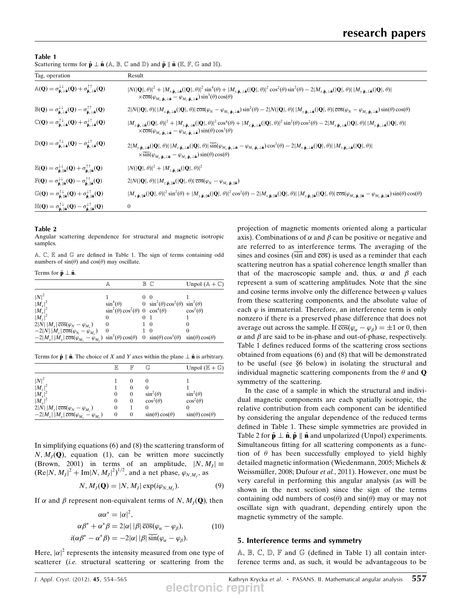| Scattering terms for $\hat{\mathbf{p}} \perp \hat{\mathbf{n}}$ (A, B, C and D) and $\hat{\mathbf{p}} \parallel \hat{\mathbf{n}}$ (E, F, G and H). |  |
|---------------------------------------------------------------------------------------------------------------------------------------------------|--|
|                                                                                                                                                   |  |

| Tag, operation                                                                                                                                                                                                                                             | Result                                                                                                                                                                                                                                                                                                                                                                                                                                                                                                                                                                                                                       |
|------------------------------------------------------------------------------------------------------------------------------------------------------------------------------------------------------------------------------------------------------------|------------------------------------------------------------------------------------------------------------------------------------------------------------------------------------------------------------------------------------------------------------------------------------------------------------------------------------------------------------------------------------------------------------------------------------------------------------------------------------------------------------------------------------------------------------------------------------------------------------------------------|
| $\mathbb{A}(\mathbf{Q}) = \sigma_{\hat{\mathbf{p}}_x\perp\hat{\mathbf{n}}}^{\downarrow\downarrow}(\mathbf{Q}) + \sigma_{\hat{\mathbf{p}}_x\perp\hat{\mathbf{n}}}^{\uparrow\uparrow}(\mathbf{Q})$                                                           | $ N( \mathbf{Q} ,\theta) ^2+ M_{\mathbf{x},\hat{\mathbf{p}}_{\mathbf{x}}\perp\hat{\mathbf{n}}}( \mathbf{Q} ,\theta) ^2\sin^4(\theta)+ M_{\mathbf{y},\hat{\mathbf{p}}_{\mathbf{x}}\perp\hat{\mathbf{n}}}( \mathbf{Q} ,\theta) ^2\cos^2(\theta)\sin^2(\theta)-2 M_{\mathbf{x},\hat{\mathbf{p}}_{\mathbf{x}}\perp\hat{\mathbf{n}}}( \mathbf{Q} ,\theta)  M_{\mathbf{y},\hat{\mathbf{p}}_{\mathbf{x}}\perp\hat{\mathbf{n}}}( \mathbf{Q} ,\theta) ^2$<br>$\times\overline{\cos}(\varphi_{M_{x},\hat{\mathbf{p}}_{x}\perp\hat{\mathbf{n}}}-\varphi_{M_{y},\hat{\mathbf{p}}_{x}\perp\hat{\mathbf{n}}})\sin^{3}(\theta)\cos(\theta)$ |
| $\mathbb{B}(\mathbf{Q}) = \sigma_{\hat{\mathbf{p}}_{\tau} \perp \hat{\mathbf{n}}}^{\downarrow \downarrow}(\mathbf{Q}) - \sigma_{\hat{\mathbf{p}}_{\tau} \perp \hat{\mathbf{n}}}^{\uparrow \uparrow}(\mathbf{Q})$                                           | $2 N( \mathbf{Q} ,\theta) \,  M_{x,\hat{\mathbf{p}}_x\perp \hat{\mathbf{a}}}( \mathbf{Q} ,\theta) \, \overline{\cos}(\varphi_N-\varphi_{M_x,\hat{\mathbf{p}}_x\perp \hat{\mathbf{a}}})\sin^2(\theta)-2 N( \mathbf{Q} ,\theta) \,  M_{y,\hat{\mathbf{p}}_x\perp \hat{\mathbf{a}}}( \mathbf{Q} ,\theta) \, \overline{\cos}(\varphi_N-\varphi_{M_y,\hat{\mathbf{p}}_x\perp \hat{\mathbf{a}}})\sin(\theta)\cos(\theta)$                                                                                                                                                                                                          |
| $\mathbb{C}(\mathbf{Q}) = \sigma_{\hat{\mathbf{p}}_x \perp \hat{\mathbf{n}}}^{\uparrow \downarrow}(\mathbf{Q}) + \sigma_{\hat{\mathbf{p}}_x \perp \hat{\mathbf{n}}}^{\downarrow \uparrow}(\mathbf{Q})$                                                     | $ M_{z,\hat{\mathbf{p}}_x\perp\hat{\mathbf{n}}}( \mathbf{Q} ,\theta) ^2+ M_{y,\hat{\mathbf{p}}_x\perp\hat{\mathbf{n}}}( \mathbf{Q} ,\theta) ^2\cos^4(\theta)+ M_{x,\hat{\mathbf{p}}_x\perp\hat{\mathbf{n}}}( \mathbf{Q} ,\theta) ^2\sin^2(\theta)\cos^2(\theta)-2 M_{x,\hat{\mathbf{p}}_x\perp\hat{\mathbf{n}}}( \mathbf{Q} ,\theta)  M_{y,\hat{\mathbf{p}}_x\perp\hat{\mathbf{n}}}( \mathbf{Q} ,\theta) ^2$<br>$\times \overline{\cos}(\varphi_{M_x, \hat{\mathbf{p}}_x \perp \hat{\mathbf{n}}} - \varphi_{M_y, \hat{\mathbf{p}}_x \perp \hat{\mathbf{n}}}) \sin(\theta) \cos^3(\theta)$                                    |
| $\mathbb{D}(\mathbf{Q}) = \sigma_{\hat{\mathbf{p}}_x \perp \hat{\mathbf{n}}}^{\uparrow \downarrow}(\mathbf{Q}) - \sigma_{\hat{\mathbf{p}}_x \perp \hat{\mathbf{n}}}^{\downarrow \uparrow}(\mathbf{Q})$                                                     | $2 M_{y,\hat{\mathbf{p}}_x\perp \hat{\mathbf{n}}}( \mathbf{Q} ,\theta) \  M_{z,\hat{\mathbf{p}}_x\perp \hat{\mathbf{n}}}( \mathbf{Q} ,\theta) \ \overline{\sin}(\varphi_{M_y,\hat{\mathbf{p}}_x\perp \hat{\mathbf{n}}} - \varphi_{M_z,\hat{\mathbf{p}}_x\perp \hat{\mathbf{n}}})\cos^2(\theta) - 2 M_{x,\hat{\mathbf{p}}_x\perp \hat{\mathbf{n}}}( \mathbf{Q} ,\theta) \  M_{z,\hat{\mathbf{p}}_x\perp \hat{\mathbf{n}}}( \mathbf{Q} ,\theta) $<br>$\times \overline{\sin}(\varphi_{M_x, \hat{\mathbf{p}}_x \perp \hat{\mathbf{n}}} - \varphi_{M_z, \hat{\mathbf{p}}_x \perp \hat{\mathbf{n}}}) \sin(\theta) \cos(\theta)$   |
| $\mathbb{E}(\mathbf{Q}) = \sigma_{\hat{\mathbf{p}}_z \parallel \hat{\mathbf{n}}}^{\downarrow \downarrow}(\mathbf{Q}) + \sigma_{\hat{\mathbf{p}}_z \parallel \hat{\mathbf{n}}}^{\uparrow \uparrow}(\mathbf{Q})$                                             | $ N( \mathbf{Q} ,\theta) ^2+ M_{z,\hat{\mathbf{p}}_z\parallel\hat{\mathbf{n}}}( \mathbf{Q} ,\theta) ^2$                                                                                                                                                                                                                                                                                                                                                                                                                                                                                                                      |
| $\mathbb{F}(\mathbf{Q})=\sigma^{\downarrow\downarrow}_{\hat{\mathbf{p}}_{\boldsymbol{\varepsilon}}\parallel\hat{\mathbf{n}}}(\mathbf{Q})-\sigma^{\uparrow\uparrow}_{\hat{\mathbf{p}}_{\boldsymbol{\varepsilon}}\parallel\hat{\mathbf{n}}}(\mathbf{Q})$     | $2 N( \mathbf{Q} ,\theta) \,  M_{z,\hat{\mathbf{p}}_z\parallel \hat{\mathbf{a}}}( \mathbf{Q} ,\theta) \, \overline{\cos}(\varphi_N-\varphi_{M_z,\hat{\mathbf{p}}_z\parallel \hat{\mathbf{a}}})$                                                                                                                                                                                                                                                                                                                                                                                                                              |
| $\mathbb{G}(\mathbf{Q}) = \sigma^{\uparrow\downarrow}_{\hat{\mathbf{p}}_{\boldsymbol{\varepsilon}}\parallel\hat{\mathbf{n}}}(\mathbf{Q}) + \sigma^{\downarrow\uparrow}_{\hat{\mathbf{p}}_{\boldsymbol{\varepsilon}}\parallel\hat{\mathbf{n}}}(\mathbf{Q})$ | $ M_{x,\hat{\mathbf{p}}_{\varepsilon} \  \hat{\mathbf{n}}}( \mathbf{Q} ,\theta) ^2 \sin^2(\theta) +  M_{y,\hat{\mathbf{p}}_{\varepsilon} \  \hat{\mathbf{n}}}( \mathbf{Q} ,\theta) ^2 \cos^2(\theta) - 2  M_{x,\hat{\mathbf{p}}_{\varepsilon} \  \hat{\mathbf{n}}}( \mathbf{Q} ,\theta)   \,  M_{y,\hat{\mathbf{p}}_{\varepsilon} \  \hat{\mathbf{n}}}( \mathbf{Q} ,\theta)   \, \overline{\cos}(\varphi_{M_x,\hat{\mathbf{p}}_{\varepsilon} \  \hat{\mathbf{n}}} - \varphi_{M_y,\hat{\mathbf{p}}$                                                                                                                           |
| $\mathbb{H}(\mathbf{Q}) = \sigma^{\uparrow\downarrow}_{\hat{\mathbf{p}}_{\boldsymbol{\varepsilon}}\parallel\hat{\mathbf{n}}}(\mathbf{Q}) - \sigma^{\downarrow\uparrow}_{\hat{\mathbf{p}}_{\boldsymbol{\varepsilon}}\parallel\hat{\mathbf{n}}}(\mathbf{Q})$ | $\boldsymbol{0}$                                                                                                                                                                                                                                                                                                                                                                                                                                                                                                                                                                                                             |

#### Table 2

Angular scattering dependence for structural and magnetic isotropic samples.

A, C, E and G are defined in Table 1. The sign of terms containing odd numbers of  $sin(\theta)$  and  $cos(\theta)$  may oscillate.

Terms for  $\hat{\mathbf{p}} \perp \hat{\mathbf{n}}$ .

|                                                                                                                                                | A                                                 | $\mathbb B$ $\mathbb C$                          | Unpol $(A + \mathbb{C})$  |
|------------------------------------------------------------------------------------------------------------------------------------------------|---------------------------------------------------|--------------------------------------------------|---------------------------|
| $ N ^2$                                                                                                                                        |                                                   |                                                  |                           |
| $ M_r ^2$                                                                                                                                      | $\sin^4(\theta)$                                  | $0 \sin^2(\theta) \cos^2(\theta) \sin^2(\theta)$ |                           |
| $ M_{y} ^{2}$                                                                                                                                  | $\sin^2(\theta)\cos^2(\theta)$ 0 $\cos^4(\theta)$ |                                                  | $\cos^2(\theta)$          |
| $ M_z ^2$                                                                                                                                      | $\theta$                                          |                                                  |                           |
| $2 N   M_x  \overline{\cos}(\varphi_N - \varphi_{M_x})$                                                                                        | $\theta$                                          | - 0                                              |                           |
| $-2 N   M_{y}  \overline{\cos}(\varphi_{N} - \varphi_{M_{y}})$                                                                                 |                                                   | $\theta$                                         |                           |
| $-2 M_{x}  \dot{M}_{y} \overline{\cos}(\varphi_{M_{y}} - \dot{\varphi}_{M_{y}}) \sin^{3}(\theta)\cos(\theta)$ 0 $\sin(\theta)\cos^{3}(\theta)$ |                                                   |                                                  | $sin(\theta) cos(\theta)$ |
|                                                                                                                                                |                                                   |                                                  |                           |

Terms for  $\hat{\mathbf{p}} \parallel \hat{\mathbf{n}}$ . The choice of X and Y axes within the plane  $\perp \hat{\mathbf{n}}$  is arbitrary.

|                                                                        | $_{\mathbb{E}}$ | $_{\mathbb{F}}$ | $\mathbb{G}$              | Unpol $(E + \mathbb{G})$  |
|------------------------------------------------------------------------|-----------------|-----------------|---------------------------|---------------------------|
| $ N ^2$                                                                |                 | $\theta$        | $\theta$                  |                           |
| $\frac{ M_z ^2}{ M_x ^2}$                                              |                 | $\theta$        | $\theta$                  |                           |
|                                                                        | 0               | $\mathbf{0}$    | $\sin^2(\theta)$          | $\sin^2(\theta)$          |
| $ M_{\rm v} ^2$                                                        | 0               | $\mathbf{0}$    | $\cos^2(\theta)$          | $\cos^2(\theta)$          |
| $2 \dot{N}   M_z \overline{\cos}(\varphi_N - \varphi_{M_z})$           | 0               |                 | 0                         |                           |
| $-2 M_{x}   M_{y}  \overline{\cos}(\varphi_{M_{y}} - \varphi_{M_{y}})$ | 0               | $\Omega$        | $sin(\theta) cos(\theta)$ | $sin(\theta) cos(\theta)$ |
|                                                                        |                 |                 |                           |                           |

In simplifying equations (6) and (8) the scattering transform of  $N, M<sub>I</sub>(**Q**),$  equation (1), can be written more succinctly (Brown, 2001) in terms of an amplitude,  $|N, M_1| \equiv$  $(Re|N, M_J|^2 + Im|N, M_J|^2)$ Þ <sup>1/2</sup>, and a net phase,  $\varphi_{N,M_J}$ , as

$$
N, M_J(\mathbf{Q}) = |N, M_J| \exp(i\varphi_{N,M_J}). \tag{9}
$$

If  $\alpha$  and  $\beta$  represent non-equivalent terms of N,  $M_J(Q)$ , then

$$
\alpha \alpha^* = |\alpha|^2,
$$
  
\n
$$
\alpha \beta^* + \alpha^* \beta = 2|\alpha| |\beta| \overline{\cos}(\varphi_\alpha - \varphi_\beta),
$$
  
\n
$$
i(\alpha \beta^* - \alpha^* \beta) = -2|\alpha| |\beta| \overline{\sin}(\varphi_\alpha - \varphi_\beta).
$$
\n(10)

Here,  $|\alpha|^2$  represents the intensity measured from one type of scattering from the scattering from the scatterer *(i.e.* structural scattering or scattering from the projection of magnetic moments oriented along a particular axis). Combinations of  $\alpha$  and  $\beta$  can be positive or negative and are referred to as interference terms. The averaging of the sines and cosines ( $\overline{\sin}$  and  $\overline{\cos}$ ) is used as a reminder that each scattering neutron has a spatial coherence length smaller than that of the macroscopic sample and, thus,  $\alpha$  and  $\beta$  each represent a sum of scattering amplitudes. Note that the sine and cosine terms involve only the difference between  $\varphi$  values from these scattering components, and the absolute value of each  $\varphi$  is immaterial. Therefore, an interference term is only nonzero if there is a preserved phase difference that does not average out across the sample. If  $\overline{\cos}(\varphi_{\alpha} - \varphi_{\beta}) = \pm 1$  or 0, then  $\alpha$  and  $\beta$  are said to be in-phase and out-of-phase, respectively  $\alpha$  and  $\beta$  are said to be in-phase and out-of-phase, respectively. Table 1 defines reduced forms of the scattering cross sections obtained from equations (6) and (8) that will be demonstrated to be useful (see  $§6$  below) in isolating the structural and individual magnetic scattering components from the  $\theta$  and  $\mathbf Q$ symmetry of the scattering.

In the case of a sample in which the structural and individual magnetic components are each spatially isotropic, the relative contribution from each component can be identified by considering the angular dependence of the reduced terms defined in Table 1. These simple symmetries are provided in Table 2 for  $\hat{\mathbf{p}} \perp \hat{\mathbf{n}}, \hat{\mathbf{p}} \parallel \hat{\mathbf{n}}$  and unpolarized (Unpol) experiments. Simultaneous fitting for all scattering components as a function of  $\theta$  has been successfully employed to yield highly detailed magnetic information (Wiedenmann, 2005; Michels & Weissmüller, 2008; Dufour et al., 2011). However, one must be very careful in performing this angular analysis (as will be shown in the next section) since the sign of the terms containing odd numbers of  $cos(\theta)$  and  $sin(\theta)$  may or may not oscillate sign with quadrant, depending entirely upon the magnetic symmetry of the sample.

#### 5. Interference terms and symmetry

A, B, C, D, F and G (defined in Table 1) all contain interference terms and, as such, it would be advantageous to be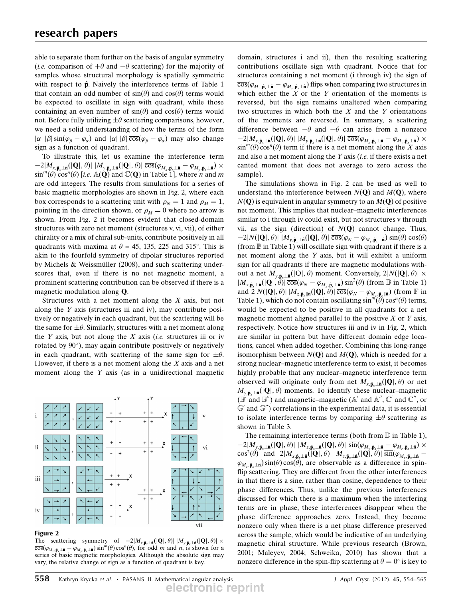able to separate them further on the basis of angular symmetry (*i.e.* comparison of  $+\theta$  and  $-\theta$  scattering) for the majority of samples whose structural morphology is spatially symmetric samples whose structural morphology is spatially symmetric with respect to  $\hat{\mathbf{p}}$ . Naively the interference terms of Table 1 that contain an odd number of  $sin(\theta)$  and  $cos(\theta)$  terms would be expected to oscillate in sign with quadrant, while those containing an even number of  $sin(\theta)$  and  $cos(\theta)$  terms would not. Before fully utilizing  $\pm \theta$  scattering comparisons, however, we need a solid understanding of how the terms of the form  $|\alpha| |\beta| \overline{\sin}(\varphi_{\beta} - \varphi_{\alpha})$  and  $|\alpha| |\beta| \overline{\cos}(\varphi_{\beta} - \varphi_{\alpha})$  may also change<br>sign as a function of quadrant sign as a function of quadrant.

To illustrate this, let us examine the interference term  $\sin^{m}(\theta) \cos^{n}(\theta)$  [i.e.  $\mathbb{A}(\mathbf{Q})$  and  $\mathbb{C}(\mathbf{Q})$  in Table 1], where *n* and *m* are odd integers. The results from simulations for a series of  $2|M_{x,\hat{\mathbf{p}}_x\perp \hat{\mathbf{n}}}(|\mathbf{Q}|,\theta)| |M_{y,\hat{\mathbf{p}}_x\perp \hat{\mathbf{n}}}(|\mathbf{Q}|,\theta)| \overline{\cos}(\varphi_{M_x,\hat{\mathbf{p}}_x\perp \hat{\mathbf{n}}} - \varphi_{M_y,\hat{\mathbf{p}}_x\perp \hat{\mathbf{n}}}) \times$ <br>  $\sum_{n=0}^{m}$ are odd integers. The results from simulations for a series of basic magnetic morphologies are shown in Fig. 2, where each box corresponds to a scattering unit with  $\rho_N = 1$  and  $\rho_M = 1$ , pointing in the direction shown, or  $\rho_M = 0$  where no arrow is shown. From Fig. 2 it becomes evident that closed-domain structures with zero net moment (structures v, vi, vii), of either chirality or a mix of chiral sub-units, contribute positively in all quadrants with maxima at  $\theta = 45$ , 135, 225 and 315°. This is akin to the fourfold symmetry of dipolar structures reported by Michels & Weissmüller  $(2008)$ , and such scattering underscores that, even if there is no net magnetic moment, a prominent scattering contribution can be observed if there is a magnetic modulation along Q.

Structures with a net moment along the  $X$  axis, but not along the  $Y$  axis (structures iii and iv), may contribute positively or negatively in each quadrant, but the scattering will be the same for  $\pm\theta$ . Similarly, structures with a net moment along the Y axis, but not along the X axis *(i.e.* structures iii or iv rotated by 90), may again contribute positively or negatively in each quadrant, with scattering of the same sign for  $\pm \theta$ . However, if there is a net moment along the  $X$  axis and a net moment along the Y axis (as in a unidirectional magnetic



#### Figure 2

The scattering symmetry of  $-2|M_{x,\hat{\mathbf{p}},\pm\hat{\mathbf{n}}}(|\mathbf{Q}|,\theta)| |M_{y,\hat{\mathbf{p}},\pm\hat{\mathbf{n}}}(|\mathbf{Q}|,\theta)| \times$ <br>  $\overline{\cos}(\theta_{\pm\pm\hat{\mathbf{n}},\pm\hat{\mathbf{n}}}|\cos^m(\theta)\cos^n(\theta))$  for odd *m* and *n* is shown for a  $\overline{\cos}(\varphi_{M_x,\hat{\mathbf{p}}_x\perp\hat{\mathbf{n}}} - \varphi_{M_y,\hat{\mathbf{p}}_x\perp\hat{\mathbf{n}}}) \sin^m(\theta) \cos^n(\theta)$ , for odd *m* and *n*, is shown for a series of basic magnetic morphologies. Although the absolute sign may series of basic magnetic morphologies. Although the absolute sign may vary, the relative change of sign as a function of quadrant is key.

domain, structures i and ii), then the resulting scattering contributions oscillate sign with quadrant. Notice that for structures containing a net moment (i through iv) the sign of  $\overline{\cos}(\varphi_{M_x,\hat{\mathbf{p}}_x\perp \hat{\mathbf{n}}} - \varphi_{M_y,\hat{\mathbf{p}}_x\perp \hat{\mathbf{n}}})$  flips when comparing two structures in which either the X or the Y orientation of the moments is which either the  $X$  or the Y orientation of the moments is reversed, but the sign remains unaltered when comparing two structures in which both the  $X$  and the  $Y$  orientations of the moments are reversed. In summary, a scattering difference between  $-\theta$  and  $+\theta$  can arise from a nonzero<br> $-2|M_{\text{max}}(|\mathbf{Q}||\theta)| |M_{\text{max}}(|\mathbf{Q}||\theta)| |\overline{\cos}(\theta_{\text{max}}| \theta_{\text{max}}| \theta_{\text{max}}| \theta_{\text{max}}|) \times$  $\sin^{m}(\theta) \cos^{n}(\theta)$  term if there is a net moment along the X axis<br>and also a net moment along the Y axis (i.e. if there exists a net  $2|M_{x,\hat{\mathbf{p}}_x\perp \hat{\mathbf{n}}}(|\mathbf{Q}|,\theta)| |M_{y,\hat{\mathbf{p}}_x\perp \hat{\mathbf{n}}}(|\mathbf{Q}|,\theta)| \overline{\cos}(\varphi_{M_x,\hat{\mathbf{p}}_x\perp \hat{\mathbf{n}}} - \varphi_{M_y,\hat{\mathbf{p}}_x\perp \hat{\mathbf{n}}}) \times$ <br>  $m^m(\theta) \cos^n(\theta)$  term if there is a net moment along the *X* avis and also a net moment along the  $Y$  axis (*i.e.* if there exists a net canted moment that does not average to zero across the sample).

The simulations shown in Fig. 2 can be used as well to understand the interference between  $N(Q)$  and  $M(Q)$ , where  $N(Q)$  is equivalent in angular symmetry to an  $M(Q)$  of positive net moment. This implies that nuclear–magnetic interferences similar to i through iv could exist, but not structures v through vii, as the sign (direction) of  $N(Q)$  cannot change. Thus, (from B in Table 1) will oscillate sign with quadrant if there is a  $2|N(|\mathbf{Q}|, \theta)| |M_{y, \hat{\mathbf{p}}_x \perp \hat{\mathbf{n}}}(|\mathbf{Q}|, \theta)| \overline{\cos}(\varphi_N - \varphi_{M_y, \hat{\mathbf{p}}_x \perp \hat{\mathbf{n}}}) \sin(\theta) \cos(\theta)$ <br>rom  $\mathbb{R}$  in Table 1) will oscillate sign with quadrant if there is a net moment along the Y axis, but it will exhibit a uniform sign for all quadrants if there are magnetic modulations without a net  $M_{y,\hat{\mathbf{p}}_x\perp \hat{\mathbf{n}}}(|Q|,\theta)$  moment. Conversely,  $2|N(|\mathbf{Q}|,\theta)| \times |M_{\phi}|\sim (|\mathbf{Q}|,\theta)|\overline{\cos}(\theta - \theta)$  solo  $\sin^2(\theta)$  (from  $\mathbb R$  in Table 1)  $|M_{x,\hat{\mathbf{p}}_x\perp\hat{\mathbf{n}}}(|\mathbf{Q}|,\theta)|\overline{\cos}(\varphi_N - \varphi_{M_x,\hat{\mathbf{p}}_x\perp\hat{\mathbf{n}}})\sin^2(\theta)$  (from B in Table 1)<br>and  $2|N(|\mathbf{Q}|, \theta)| |M_{x,x}|\cdot|(\mathbf{Q}|, \theta)|\overline{\cos}(\varphi_N - \varphi_{M_x,x})$  (from F in and  $2|N(|\mathbf{Q}|, \theta)| |M_{z,\hat{\mathbf{p}}_z||\hat{\mathbf{n}}}(|\mathbf{Q}|, \theta)| \overline{\cos}(\varphi_N - \varphi_{M_z,\hat{\mathbf{p}}_z||\hat{\mathbf{n}}})$  (from  $\mathbb{F}$  in Table 1) which do not contain oscillating  $\sin^m(\theta) \cos^n(\theta)$  terms Table 1), which do not contain oscillating  $sin^{m}(\theta) cos^{n}(\theta)$  terms, would be expected to be positive in all quadrants for a net magnetic moment aligned parallel to the positive  $X$  or  $Y$  axis, respectively. Notice how structures iii and iv in Fig. 2, which are similar in pattern but have different domain edge locations, cancel when added together. Combining this long-range isomorphism between  $N(Q)$  and  $M(Q)$ , which is needed for a strong nuclear–magnetic interference term to exist, it becomes highly probable that any nuclear–magnetic interference term observed will originate only from net  $M_{x,\hat{\mathbf{p}}_x\perp \hat{\mathbf{n}}}(|\mathbf{Q}|,\theta)$  or net  $M_{v,\hat{\mathbf{p}}_{v,\hat{\mathbf{p}}}}(|\mathbf{Q}|,\theta)$  moments. To identify these nuclear–magnetic  $(\mathbb{B}^{\prime\text{-}}$  and  $\mathbb{B}^{\prime\prime})$  and magnetic–magnetic (A' and A'', C' and C'', or  $\mathbb{G}'$  and  $\mathbb{G}''$ ) correlations in the experimental data, it is essential to isolate interference terms by comparing  $\pm \theta$  scattering as shown in Table 3.

The remaining interference terms (both from  $D$  in Table 1),  $\cos^2(\theta)$  and  $2|M_{x,\hat{\mathbf{p}}_x\perp \hat{\mathbf{n}}}(\mathbf{Q},\theta)| |M_{z,\hat{\mathbf{p}}_x\perp \hat{\mathbf{n}}}(\mathbf{Q},\theta)| \sin(\phi_{M_x,\hat{\mathbf{p}}_x\perp \hat{\mathbf{n}}}$ <br>  $\phi_{\text{max}}(\mathbf{Q},\theta)| \sin(\theta)$  $2|M_{y,\hat{\mathbf{p}}_x\perp \hat{\mathbf{n}}}(|\mathbf{Q}|,\theta)| |M_{z,\hat{\mathbf{p}}_x\perp \hat{\mathbf{n}}}(|\mathbf{Q}|,\theta)| \overline{\sin(\varphi_{M_y,\hat{\mathbf{p}}_x\perp \hat{\mathbf{n}}} - \varphi_{M_z,\hat{\mathbf{p}}_x\perp \hat{\mathbf{n}}}}) \times$ <br>  $\sum_{s=1}^{\infty}$  $\varphi_{M_z,\hat{\mathbf{p}}_x\perp\hat{\mathbf{n}}}\sin(\theta)\cos(\theta)$ , are observable as a difference in spinflip scattering. They are different from the other interferences in that there is a sine, rather than cosine, dependence to their phase differences. Thus, unlike the previous interferences discussed for which there is a maximum when the interfering terms are in phase, these interferences disappear when the phase difference approaches zero. Instead, they become nonzero only when there is a net phase difference preserved across the sample, which would be indicative of an underlying magnetic chiral structure. While previous research (Brown, 2001; Maleyev, 2004; Schweika, 2010) has shown that a nonzero difference in the spin-flip scattering at  $\theta = 0^{\circ}$  is key to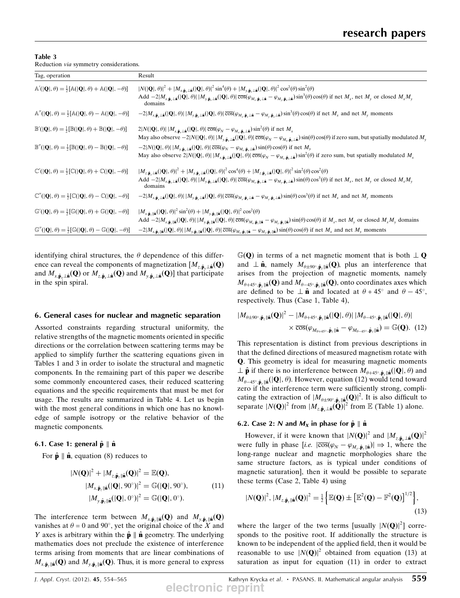| Table 3 |                                        |
|---------|----------------------------------------|
|         | Reduction via symmetry considerations. |

| Tag, operation                                                                                                         | Result                                                                                                                                                                                                                                                                                                                                                                                                                                                                                                                                                                                                                                 |
|------------------------------------------------------------------------------------------------------------------------|----------------------------------------------------------------------------------------------------------------------------------------------------------------------------------------------------------------------------------------------------------------------------------------------------------------------------------------------------------------------------------------------------------------------------------------------------------------------------------------------------------------------------------------------------------------------------------------------------------------------------------------|
| $\mathbb{A}'( \mathbf{Q} ,\theta) = \frac{1}{2} [\mathbb{A}( \mathbf{Q} ,\theta) + \mathbb{A}( \mathbf{Q} ,-\theta)]$  | $ N( \mathbf{Q} ,\theta) ^2 +  M_{x,\hat{\mathbf{p}}_r\perp\hat{\mathbf{n}}}( \mathbf{Q} ,\theta) ^2 \sin^4(\theta) +  M_{y,\hat{\mathbf{p}}_r\perp\hat{\mathbf{n}}}( \mathbf{Q} ,\theta) ^2 \cos^2(\theta) \sin^2(\theta)$<br>Add $-2 M_{x,\hat{\mathbf{p}}_x\perp \hat{\mathbf{n}}}( \mathbf{Q} ,\theta)   M_{y,\hat{\mathbf{p}}_x\perp \hat{\mathbf{n}}}( \mathbf{Q} ,\theta)  \overline{\cos}(\varphi_{M_x,\hat{\mathbf{p}}_x\perp \hat{\mathbf{n}}} - \varphi_{M_y,\hat{\mathbf{p}}_x\perp \hat{\mathbf{n}}}) \sin^3(\theta)\cos(\theta)$ if net $M_x$ , net $M_y$ or closed $M_xM_y$<br>domains                                  |
| $\mathbb{A}''( \mathbf{Q} ,\theta) = \frac{1}{2} [\mathbb{A}( \mathbf{Q} ,\theta) - \mathbb{A}( \mathbf{Q} ,-\theta)]$ | $-2 M_{x,\hat{\mathbf{p}}_x\perp \hat{\mathbf{n}}}( \mathbf{Q} ,\theta)   M_{y,\hat{\mathbf{p}}_x\perp \hat{\mathbf{n}}}( \mathbf{Q} ,\theta)  \overline{\cos}(\varphi_{M_x,\hat{\mathbf{p}}_x\perp \hat{\mathbf{n}}} - \varphi_{M_y,\hat{\mathbf{p}}_x\perp \hat{\mathbf{n}}}) \sin^3(\theta)\cos(\theta)$ if net $M_x$ and net $M_y$ moments                                                                                                                                                                                                                                                                                         |
| $\mathbb{B}'( \mathbf{Q} ,\theta) = \frac{1}{2} [\mathbb{B}( \mathbf{Q} ,\theta) + \mathbb{B}( \mathbf{Q} ,-\theta)]$  | $2 N( \mathbf{Q} ,\theta)   M_{x,\hat{\mathbf{p}}_x\perp \hat{\mathbf{n}}}( \mathbf{Q} ,\theta)  \overline{\cos}(\varphi_N - \varphi_{M_x,\hat{\mathbf{p}}_x\perp \hat{\mathbf{n}}}) \sin^2(\theta)$ if net $M_x$<br>May also observe $-2 N( \mathbf{Q} ,\theta)   M_{y,\hat{\mathbf{p}}_x\perp \hat{\mathbf{n}}}( \mathbf{Q} ,\theta)  \overline{\cos}(\varphi_N - \varphi_{M_x,\hat{\mathbf{p}}_x\perp \hat{\mathbf{n}}}) \sin(\theta) \cos(\theta)$ if zero sum, but spatially modulated $M_y$                                                                                                                                      |
| $\mathbb{B}''( \mathbf{Q} ,\theta) = \frac{1}{2} [\mathbb{B}( \mathbf{Q} ,\theta) - \mathbb{B}( \mathbf{Q} ,-\theta)]$ | $-2 N( \mathbf{Q} ,\theta)   M_{y,\hat{\mathbf{p}}_x\perp \hat{\mathbf{n}}}( \mathbf{Q} ,\theta)  \overline{\cos}(\varphi_N - \varphi_{M_x,\hat{\mathbf{p}}_x\perp \hat{\mathbf{n}}}) \sin(\theta) \cos(\theta)$ if net $M_y$<br>May also observe $2 N( \mathbf{Q} ,\theta)   M_{x,\hat{\mathbf{p}}_x\perp \hat{\mathbf{n}}}( \mathbf{Q} ,\theta)  \overline{\cos}(\varphi_N - \varphi_{M_x,\hat{\mathbf{p}}_x\perp \hat{\mathbf{n}}}) \sin^2(\theta)$ if zero sum, but spatially modulated $M_x$                                                                                                                                      |
| $\mathbb{C}'( \mathbf{Q} ,\theta) = \frac{1}{2} [\mathbb{C}( \mathbf{Q} ,\theta) + \mathbb{C}( \mathbf{Q} ,-\theta)]$  | $ M_{z,\hat{\mathbf{p}}_r\perp\hat{\mathbf{n}}}( \mathbf{Q} ,\theta) ^2+ M_{y,\hat{\mathbf{p}}_r\perp\hat{\mathbf{n}}}( \mathbf{Q} ,\theta) ^2\cos^4(\theta)+ M_{z,\hat{\mathbf{p}}_r\perp\hat{\mathbf{n}}}( \mathbf{Q} ,\theta) ^2\sin^2(\theta)\cos^2(\theta)$<br>Add $-2 M_{x,\hat{\mathbf{p}}_x\perp\hat{\mathbf{n}}}( \mathbf{Q} ,\theta)   M_{y,\hat{\mathbf{p}}_x\perp\hat{\mathbf{n}}}( \mathbf{Q} ,\theta)  \overline{\cos}(\varphi_{M_x,\hat{\mathbf{p}}_x\perp\hat{\mathbf{n}}} - \varphi_{M_y,\hat{\mathbf{p}}_x\perp\hat{\mathbf{n}}}) \sin(\theta)\cos^3(\theta)$ if net $M_x$ , net $M_y$ or closed $M_xM_y$<br>domains |
| $\mathbb{C}''( \mathbf{Q} ,\theta) = \frac{1}{2} [\mathbb{C}( \mathbf{Q} ,\theta) - \mathbb{C}( \mathbf{Q} ,-\theta)]$ | $-2 M_{x,\hat{\mathbf{p}}_{x,\hat{\mathbf{n}}}\perp\hat{\mathbf{n}}}( \mathbf{Q} ,\theta)   M_{y,\hat{\mathbf{p}}_{x,\hat{\mathbf{n}}} \hat{\mathbf{n}}}( \mathbf{Q} ,\theta)  \overline{\cos}(\varphi_{M_{y},\hat{\mathbf{p}}_{x,\hat{\mathbf{n}}}} - \varphi_{M_{y},\hat{\mathbf{p}}_{x,\hat{\mathbf{n}}}}) \sin(\theta) \cos^{3}(\theta)$ if net $M_{x}$ and net $M_{y}$ moments                                                                                                                                                                                                                                                    |
| $\mathbb{G}'( \mathbf{Q} ,\theta) = \frac{1}{2} [\mathbb{G}( \mathbf{Q} ,\theta) + \mathbb{G}( \mathbf{Q} ,-\theta)]$  | $ M_{x,\hat{\mathbf{p}}_{\tau}\ \hat{\mathbf{n}}}( \mathbf{Q} ,\theta) ^2 \sin^2(\theta) +  M_{y,\hat{\mathbf{p}}_{\tau}\ \hat{\mathbf{n}}}( \mathbf{Q} ,\theta) ^2 \cos^2(\theta)$<br>Add $-2 M_{x,\hat{\mathbf{p}}_{z}  \hat{\mathbf{n}}}( \mathbf{Q} ,\theta)   M_{y,\hat{\mathbf{p}}_{z}  \hat{\mathbf{n}}}( \mathbf{Q} ,\theta)  \overline{\cos}(\varphi_{M_{x},\hat{\mathbf{p}}_{z}  \hat{\mathbf{n}}} - \varphi_{M_{y},\hat{\mathbf{p}}_{z}  \hat{\mathbf{n}}}) \sin(\theta) \cos(\theta)$ if $M_{x}$ , net $M_{y}$ or closed $M_{x}M_{y}$ domains                                                                              |
| $\mathbb{G}''( \mathbf{Q} ,\theta) = \frac{1}{2} [\mathbb{G}( \mathbf{Q} ,\theta) - \mathbb{G}( \mathbf{Q} ,-\theta)]$ | $-2 M_{x,\hat{\mathbf{p}}_{z}  \hat{\mathbf{n}}}( \mathbf{Q} ,\theta)   M_{y,\hat{\mathbf{p}}_{z}  \hat{\mathbf{n}}}( \mathbf{Q} ,\theta)  \overline{\cos}(\varphi_{M_{x},\hat{\mathbf{p}}_{z}  \hat{\mathbf{n}}} - \varphi_{M_{y},\hat{\mathbf{p}}_{z}  \hat{\mathbf{n}}}) \sin(\theta)\cos(\theta)$ if net $M_{x}$ and net $M_{y}$ moments                                                                                                                                                                                                                                                                                           |

identifying chiral structures, the  $\theta$  dependence of this difference can reveal the components of magnetization  $[M_{z,\hat{\mathbf{p}}}\_{{\hat{\mathbf{n}}}}(\mathbf{Q})$ and  $M_{x,\hat{\mathbf{p}}_x\perp\hat{\mathbf{n}}}(\mathbf{Q})$  or  $M_{z,\hat{\mathbf{p}}_x\perp\hat{\mathbf{n}}}(\mathbf{Q})$  and  $M_{y,\hat{\mathbf{p}}_x\perp\hat{\mathbf{n}}}(\mathbf{Q})$  that participate in the spin spiral.

#### 6. General cases for nuclear and magnetic separation

Assorted constraints regarding structural uniformity, the relative strengths of the magnetic moments oriented in specific directions or the correlation between scattering terms may be applied to simplify further the scattering equations given in Tables 1 and 3 in order to isolate the structural and magnetic components. In the remaining part of this paper we describe some commonly encountered cases, their reduced scattering equations and the specific requirements that must be met for usage. The results are summarized in Table 4. Let us begin with the most general conditions in which one has no knowledge of sample isotropy or the relative behavior of the magnetic components.

#### 6.1. Case 1: general  $\hat{\bf p} \parallel \hat{\bf n}$

For  $\hat{\mathbf{p}} \parallel \hat{\mathbf{n}}$ , equation (8) reduces to

$$
|N(\mathbf{Q})|^2 + |M_{z,\hat{\mathbf{p}}_z\parallel\hat{\mathbf{n}}}(\mathbf{Q})|^2 = \mathbb{E}(\mathbf{Q}),
$$
  
\n
$$
|M_{x,\hat{\mathbf{p}}_z\parallel\hat{\mathbf{n}}}(|\mathbf{Q}|, 90^\circ)|^2 = \mathbb{G}(|\mathbf{Q}|, 90^\circ),
$$
  
\n
$$
|M_{y,\hat{\mathbf{p}}_z\parallel\hat{\mathbf{n}}}(|\mathbf{Q}|, 0^\circ)|^2 = \mathbb{G}(|\mathbf{Q}|, 0^\circ).
$$
\n(11)

The interference term between  $M_{x,\hat{\mathbf{p}}_{\text{v}}||\hat{\mathbf{n}}}(\mathbf{Q})$  and  $M_{y,\hat{\mathbf{p}}_{\text{v}}||\hat{\mathbf{n}}}(\mathbf{Q})$ vanishes at  $\theta = 0$  and 90°, yet the original choice of the X and Y axes is arbitrary within the  $\hat{\mathbf{p}} \parallel \hat{\mathbf{n}}$  geometry. The underlying mathematics does not preclude the existence of interference terms arising from moments that are linear combinations of  $M_{x,\hat{\mathbf{p}}_z\parallel\hat{\mathbf{n}}}(\mathbf{Q})$  and  $M_{y,\hat{\mathbf{p}}_z\parallel\hat{\mathbf{n}}}(\mathbf{Q})$ . Thus, it is more general to express

 $\mathbb{G}(\mathbf{Q})$  in terms of a net magnetic moment that is both  $\perp \mathbf{Q}$ and  $\perp \hat{\mathbf{n}}$ , namely  $M_{\theta \pm 90^\circ, \hat{\mathbf{p}}_\tau | \hat{\mathbf{n}}}(Q)$ , plus an interference that arises from the projection of magnetic moments, namely  $M_{\theta+45^\circ,\hat{\mathbf{p}}_z\parallel\hat{\mathbf{n}}}(\mathbf{Q})$  and  $M_{\theta-45^\circ,\hat{\mathbf{p}}_z\parallel\hat{\mathbf{n}}}(\mathbf{Q})$ , onto coordinates axes which<br>are defined to be  $\hat{\mathbf{p}}_z$  and located at  $\theta + 45^\circ$  and  $\theta - 45^\circ$ are defined to be  $\perp \hat{\mathbf{n}}$  and located at  $\theta + 45^{\circ}$  and  $\theta - 45^{\circ}$ ,<br>respectively Thus (Case 1 Table 4) respectively. Thus (Case 1, Table 4),

$$
|M_{\theta\pm90^\circ,\hat{\mathbf{p}}_z\parallel\hat{\mathbf{n}}}(\mathbf{Q})|^2 - |M_{\theta+45^\circ,\hat{\mathbf{p}}_z\parallel\hat{\mathbf{n}}}(|\mathbf{Q}|,\theta)| |M_{\theta-45^\circ,\hat{\mathbf{p}}_z\parallel\hat{\mathbf{n}}}(|\mathbf{Q}|,\theta)|
$$
  
 
$$
\times \overline{\cos}(\varphi_{M_{\theta+45^\circ},\hat{\mathbf{p}}_z\parallel\hat{\mathbf{n}}} - \varphi_{M_{\theta-45^\circ},\hat{\mathbf{p}}_z\parallel\hat{\mathbf{n}}}) = \mathbb{G}(\mathbf{Q}). \tag{12}
$$

This representation is distinct from previous descriptions in that the defined directions of measured magnetism rotate with Q. This geometry is ideal for measuring magnetic moments  $\perp \hat{\mathbf{p}}$  if there is no interference between  $M_{\theta+45^\circ,\hat{\mathbf{p}}_r\parallel\hat{\mathbf{n}}}(|\mathbf{Q}|,\theta)$  and  $M_{\theta-45}$ ,  $_{\theta_{\epsilon}}$  || $_{\theta}$ (|Q|,  $\theta$ ). However, equation (12) would tend toward zero if the interference term were sufficiently strong, complicating the extraction of  $|M_{\theta \pm 90^\circ, \hat{\mathbf{p}}_z}||\hat{\mathbf{a}}(\mathbf{Q})|^2$ . It is also difficult to senarate  $|N(\mathbf{Q})|^2$  from  $|M_{\phi}$ ,  $|\hat{\mathbf{Q}}|^2$  from  $\mathbb{E}$  (Table 1) alone separate  $|N(\mathbf{Q})|^2$  from  $|M_{z,\hat{\mathbf{p}},\perp\hat{\mathbf{n}}}(\mathbf{Q})|^2$  from  $\mathbb E$  (Table 1) alone.

#### 6.2. Case 2: N and  $M_X$  in phase for  $\hat{\bf p} \parallel \hat{\bf n}$

However, if it were known that  $|N(\mathbf{Q})|^2$  and  $|M_{z,\hat{\mathbf{p}}_x\perp\hat{\mathbf{n}}}(\mathbf{Q})|^2$ were fully in phase  $[i.e. \vert \overline{\cos}(\varphi_N - \varphi_{M_z, \hat{\mathbf{p}}_z \Vert \hat{\mathbf{a}}}) \vert \Rightarrow 1$ , where the long-range nuclear and magnetic morphologies share the same structure factors, as is typical under conditions of magnetic saturation], then it would be possible to separate these terms (Case 2, Table 4) using

$$
|N(\mathbf{Q})|^2, |M_{z,\hat{\mathbf{p}}_z||\hat{\mathbf{n}}}(\mathbf{Q})|^2 = \frac{1}{2} \Big\{ \mathbb{E}(\mathbf{Q}) \pm \left[ \mathbb{E}^2(\mathbf{Q}) - \mathbb{F}^2(\mathbf{Q}) \right]^{1/2} \Big\},\tag{13}
$$

where the larger of the two terms [usually  $|N(Q)|^2$ ] corre-<br>sponds to the positive root. If additionally the structure is sponds to the positive root. If additionally the structure is known to be independent of the applied field, then it would be reasonable to use  $|N(Q)|^2$  obtained from equation (13) at saturation as input for equation (11) in order to extract

*J. Appl. Cryst.* (2012). 45, 554–565 **Kathryn Krycka et al. • PASANS. II. Mathematical angular analysis 559 electronic reprint**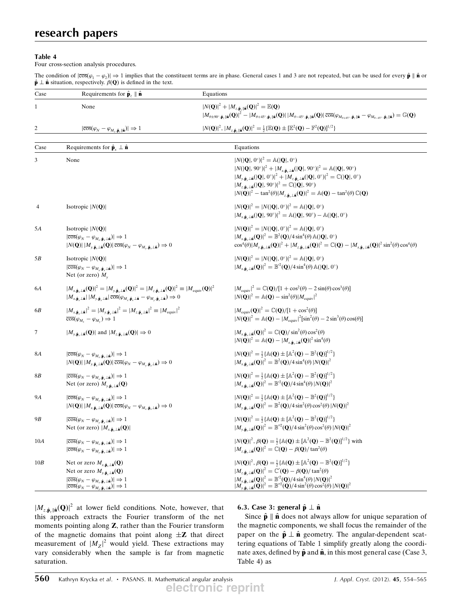#### Table 4

Four cross-section analysis procedures.

The condition of  $|\overline{\cos}(\varphi_1 - \varphi_2)| \Rightarrow 1$  implies that the constituent terms are in phase. General cases 1 and 3 are not repeated, but can be used for every  $\hat{\mathbf{p}} \parallel \hat{\mathbf{n}}$  or  $\hat{\mathbf{n}}$  into a structure of  $\theta$  and  $\$  $\hat{\mathbf{p}} \perp \hat{\mathbf{n}}$  situation, respectively.  $\beta(\mathbf{Q})$  is defined in the text.

| Case             | Requirements for $\hat{\mathbf{p}}_z \parallel \hat{\mathbf{n}}$                                                                                                                                                                                                                                                                                                                                                                                                                                         | Equations                                                                                                                                                                                                                                                                                                                                                                                                                                                                                                                                                                                                                                                                                                                       |
|------------------|----------------------------------------------------------------------------------------------------------------------------------------------------------------------------------------------------------------------------------------------------------------------------------------------------------------------------------------------------------------------------------------------------------------------------------------------------------------------------------------------------------|---------------------------------------------------------------------------------------------------------------------------------------------------------------------------------------------------------------------------------------------------------------------------------------------------------------------------------------------------------------------------------------------------------------------------------------------------------------------------------------------------------------------------------------------------------------------------------------------------------------------------------------------------------------------------------------------------------------------------------|
| $\mathbf{1}$     | None                                                                                                                                                                                                                                                                                                                                                                                                                                                                                                     | $ N(\mathbf{Q}) ^2 +  M_{z,\hat{\mathbf{p}}_z  \hat{\mathbf{n}}}(\mathbf{Q}) ^2 = \mathbb{E}(\mathbf{Q})$<br>$\left M_{\theta\pm90^\circ,\hat{\mathbf{p}}_z \hat{\mathbf{n}}}\left(\mathbf{Q}\right)\right ^2-\left M_{\theta+45^\circ,\hat{\mathbf{p}}_z \hat{\mathbf{n}}}\left(\mathbf{Q}\right)\right \left M_{\theta-45^\circ,\hat{\mathbf{p}}_z \hat{\mathbf{n}}}\left(\mathbf{Q}\right)\right \overline{\cos}(\varphi_{M_{\theta+45^\circ},\hat{\mathbf{p}}_z \hat{\mathbf{n}}}-\varphi_{M_{\theta-45^\circ},\hat{\mathbf{p}}_z \hat{\mathbf{n}}})=\mathbb{G}(\mathbf{Q})$                                                                                                                                                |
| $\boldsymbol{2}$ | $ \overline{\cos}(\varphi_N - \varphi_{M_z, \hat{\mathbf{p}}_z \parallel \hat{\mathbf{n}}})  \Rightarrow 1$                                                                                                                                                                                                                                                                                                                                                                                              | $ N(\mathbf{Q}) ^2$ , $ M_{z,\hat{\mathbf{p}}_z  \hat{\mathbf{n}}}(\mathbf{Q}) ^2 = \frac{1}{2} \{ \mathbb{E}(\mathbf{Q}) \pm [\mathbb{E}^2(\mathbf{Q}) - \mathbb{F}^2(\mathbf{Q})]^{1/2} \}$                                                                                                                                                                                                                                                                                                                                                                                                                                                                                                                                   |
|                  |                                                                                                                                                                                                                                                                                                                                                                                                                                                                                                          |                                                                                                                                                                                                                                                                                                                                                                                                                                                                                                                                                                                                                                                                                                                                 |
| Case             | Requirements for $\hat{\mathbf{p}}_x \perp \hat{\mathbf{n}}$                                                                                                                                                                                                                                                                                                                                                                                                                                             | Equations                                                                                                                                                                                                                                                                                                                                                                                                                                                                                                                                                                                                                                                                                                                       |
| 3                | None                                                                                                                                                                                                                                                                                                                                                                                                                                                                                                     | $ N( \mathbf{Q} , 0^{\circ}) ^2 = \mathbb{A}( \mathbf{Q} , 0^{\circ})$<br>$ N( \mathbf{Q} , 90^{\circ}) ^2 +  M_{x, \hat{\mathbf{p}}_+ \perp \hat{\mathbf{n}}}( \mathbf{Q} , 90^{\circ}) ^2 = \mathbb{A}( \mathbf{Q} , 90^{\circ})$<br>$ M_{y,\hat{\mathbf{p}}_r\perp \hat{\mathbf{n}}}( \mathbf{Q} ,0^\circ) ^2+ M_{z,\hat{\mathbf{p}}_r\perp \hat{\mathbf{n}}}( \mathbf{Q} ,0^\circ) ^2=\mathbb{C}( \mathbf{Q} ,0^\circ)$<br>$ M_{z,\hat{\mathbf{p}}_{\nu}\perp\hat{\mathbf{n}}}( \mathbf{Q} , 90^{\circ}) ^2 = \mathbb{C}( \mathbf{Q} , 90^{\circ})$<br>$ N(\mathbf{Q}) ^2 - \tan^2(\theta) M_{z,\hat{\mathbf{p}}_x \perp \hat{\mathbf{n}}}(\mathbf{Q}) ^2 = \mathbb{A}(\mathbf{Q}) - \tan^2(\theta) \mathbb{C}(\mathbf{Q})$ |
| 4                | Isotropic $ N(Q) $                                                                                                                                                                                                                                                                                                                                                                                                                                                                                       | $ N(\mathbf{Q}) ^2 =  N( \mathbf{Q} , 0^{\circ}) ^2 = \mathbb{A}( \mathbf{Q} , 0^{\circ})$<br>$ M_{x,\hat{\mathbf{p}}_{x} \perp \hat{\mathbf{n}}}( \mathbf{Q} , 90^{\circ}) ^2 = \mathbb{A}( \mathbf{Q} , 90^{\circ}) - \mathbb{A}( \mathbf{Q} , 0^{\circ})$                                                                                                                                                                                                                                                                                                                                                                                                                                                                    |
| 5A               | Isotropic $ N(Q) $<br>$ \overline{\cos}(\varphi_{N}-\varphi_{M_{x},\hat{\mathbf{p}}_{x}\perp \hat{\mathbf{n}}}) \Rightarrow 1$<br>$ N(\mathbf{Q})   M_{y,\hat{\mathbf{p}}_x \perp \hat{\mathbf{n}}}(\mathbf{Q})  \overline{\cos}(\varphi_N - \varphi_{M_y,\hat{\mathbf{p}}_x \perp \hat{\mathbf{n}}}) \Rightarrow 0$                                                                                                                                                                                     | $ N(\mathbf{Q}) ^2 =  N( \mathbf{Q} , 0^{\circ}) ^2 = \mathbb{A}( \mathbf{Q} , 0^{\circ})$<br>$ M_{x,\hat{\mathbf{p}}_{\tau}\perp\hat{\mathbf{n}}}(\mathbf{Q}) ^2 = \mathbb{B}^2(\mathbf{Q})/4 \sin^4(\theta) \mathbb{A}( \mathbf{Q} , 0^{\circ})$<br>$\cos^4(\theta) M_{y,\hat{\mathbf{p}},\perp \hat{\mathbf{n}}}(\mathbf{Q}) ^2 +  M_{z,\hat{\mathbf{p}},\perp \hat{\mathbf{n}}}(\mathbf{Q}) ^2 = \mathbb{C}(\mathbf{Q}) -  M_{x,\hat{\mathbf{p}},\perp \hat{\mathbf{n}}}(\mathbf{Q}) ^2 \sin^2(\theta) \cos^4(\theta)$                                                                                                                                                                                                      |
| 5B               | Isotropic $ N(Q) $<br>$ \overline{\cos}(\varphi_N - \varphi_{M_r, \hat{\mathbf{p}}_r \perp \hat{\mathbf{n}}})  \Rightarrow 1$<br>Net (or zero) $M_{v}$                                                                                                                                                                                                                                                                                                                                                   | $ N(\mathbf{Q}) ^2 =  N( \mathbf{Q} , 0^{\circ}) ^2 = \mathbb{A}( \mathbf{Q} , 0^{\circ})$<br>$ M_{x,\hat{\mathbf{p}}_{\nu}\perp\hat{\mathbf{n}}}(\mathbf{Q}) ^2 = \mathbb{B}^2(\mathbf{Q})/4\sin^4(\theta)\mathbb{A}( \mathbf{Q} ,0^{\circ})$                                                                                                                                                                                                                                                                                                                                                                                                                                                                                  |
| 6A               | $ M_{x,\hat{\mathbf{p}}_x\perp \hat{\mathbf{n}}}(\mathbf{Q}) ^2 =  M_{y,\hat{\mathbf{p}}_x\perp \hat{\mathbf{n}}}(\mathbf{Q}) ^2 =  M_{z,\hat{\mathbf{p}}_x\perp \hat{\mathbf{n}}}(\mathbf{Q}) ^2 \equiv  M_{\text{equiv}}(\mathbf{Q}) ^2$<br>$ M_{x,\hat{\mathbf{p}}_{y}\perp\hat{\mathbf{n}}}   M_{y,\hat{\mathbf{p}}_{y}\perp\hat{\mathbf{n}}}  \overline{\cos}(\varphi_{M_{y},\hat{\mathbf{p}}_{y}\perp\hat{\mathbf{n}}} - \varphi_{M_{y},\hat{\mathbf{p}}_{y}\perp\hat{\mathbf{n}}}) \Rightarrow 0$ | $ M_{\text{equiv}} ^2 = \mathbb{C}(\mathbf{Q})/[1 + \cos^2(\theta) - 2\sin(\theta)\cos^3(\theta)]$<br>$ N(\mathbf{Q}) ^2 = \mathbb{A}(\mathbf{Q}) - \sin^2(\theta)  M_{\text{empty}} ^2$                                                                                                                                                                                                                                                                                                                                                                                                                                                                                                                                        |
| 6B               | $ M_{x,\hat{\mathbf{p}}_x\pm\hat{\mathbf{n}}} ^2 =  M_{y,\hat{\mathbf{p}}_x\pm\hat{\mathbf{n}}} ^2 =  M_{z,\hat{\mathbf{p}}_x\pm\hat{\mathbf{n}}} ^2 \equiv  M_{\text{equiv}} ^2$<br>$\overline{\cos}(\varphi_{M_x} - \varphi_{M_y}) \Rightarrow 1$                                                                                                                                                                                                                                                      | $ M_{\text{equiv}}(\mathbf{Q}) ^2 = \mathbb{C}(\mathbf{Q})/[1 + \cos^2(\theta)]$<br>$ N(\mathbf{Q}) ^2 = \mathbb{A}(\mathbf{Q}) -  M_{\text{equiv}} ^2[\sin^2(\theta) - 2\sin^3(\theta)\cos(\theta)]$                                                                                                                                                                                                                                                                                                                                                                                                                                                                                                                           |
| 7                | $ M_{y,\hat{\mathbf{p}}_x\perp\hat{\mathbf{n}}}(\mathbf{Q}) $ and $ M_{z,\hat{\mathbf{p}}_x\perp\hat{\mathbf{n}}}(\mathbf{Q}) \Rightarrow 0$                                                                                                                                                                                                                                                                                                                                                             | $ M_{x,\hat{\mathbf{p}}_r\perp \hat{\mathbf{n}}}(\mathbf{Q}) ^2 = \mathbb{C}(\mathbf{Q})/\sin^2(\theta)\cos^2(\theta)$<br>$ N(\mathbf{Q}) ^2 = \mathbb{A}(\mathbf{Q}) -  M_{x,\hat{\mathbf{p}}_x \perp \hat{\mathbf{n}}}(\mathbf{Q}) ^2 \sin^4(\theta)$                                                                                                                                                                                                                                                                                                                                                                                                                                                                         |
| <b>8A</b>        | $ \overline{\cos}(\varphi_N - \varphi_{M_r, \hat{\mathbf{p}}_r \perp \hat{\mathbf{n}}})  \Rightarrow 1$<br>$ N(\mathbf{Q})   M_{y,\hat{\mathbf{p}}_x \perp \hat{\mathbf{n}}}(\mathbf{Q})  \overline{\cos}(\varphi_N - \varphi_{M_y,\hat{\mathbf{p}}_x \perp \hat{\mathbf{n}}}) \Rightarrow 0$                                                                                                                                                                                                            | $ N(\mathbf{Q}) ^2 = \frac{1}{2} \{ \mathbb{A}(\mathbf{Q}) \pm [\mathbb{A}^2(\mathbf{Q}) - \mathbb{B}^2(\mathbf{Q})]^{1/2} \}$<br>$ M_{x,\hat{\mathbf{p}}_r\perp\hat{\mathbf{n}}}(\mathbf{Q}) ^2 = \mathbb{B}^2(\mathbf{Q})/4 \sin^4(\theta)  N(\mathbf{Q}) ^2$                                                                                                                                                                                                                                                                                                                                                                                                                                                                 |
| <b>8B</b>        | $ \overline{\cos}(\varphi_N - \varphi_{M_x, \hat{\mathbf{p}}_x \perp \hat{\mathbf{n}}})  \Rightarrow 1$<br>Net (or zero) $M_{y, \hat{\mathbf{p}}_x \perp \hat{\mathbf{n}}}(\mathbf{Q})$                                                                                                                                                                                                                                                                                                                  | $ N(\mathbf{Q}) ^2 = \frac{1}{2} \{ \mathbb{A}(\mathbf{Q}) \pm [\mathbb{A}^2(\mathbf{Q}) - \mathbb{B}^2(\mathbf{Q})]^{1/2} \}$<br>$ M_{x,\hat{\mathbf{p}}_r\perp \hat{\mathbf{n}}}(\mathbf{Q}) ^2 = \mathbb{B}^2(\mathbf{Q})/4 \sin^4(\theta)  N(\mathbf{Q}) ^2$                                                                                                                                                                                                                                                                                                                                                                                                                                                                |
| 9Α               | $ \overline{\cos}(\varphi_N - \varphi_{M_\gamma,\hat{\mathbf{p}}_\chi \perp \hat{\mathbf{n}}})  \Rightarrow 1$<br>$ N(\mathbf{Q})   M_{x,\hat{\mathbf{p}}_x \perp \hat{\mathbf{n}}}(\mathbf{Q})  \overline{\cos}(\varphi_N - \varphi_{M_x,\hat{\mathbf{p}}_x \perp \hat{\mathbf{n}}}) \Rightarrow 0$                                                                                                                                                                                                     | $ N(\mathbf{Q}) ^2 = \frac{1}{2} \{ \mathbb{A}(\mathbf{Q}) \pm [\mathbb{A}^2(\mathbf{Q}) - \mathbb{B}^2(\mathbf{Q})]^{1/2} \}$<br>$ M_{v,\hat{\mathbf{p}}_{v}\perp \hat{\mathbf{n}}}(\mathbf{Q}) ^2 = \mathbb{B}^2(\mathbf{Q})/4 \sin^2(\theta) \cos^2(\theta)  N(\mathbf{Q}) ^2$                                                                                                                                                                                                                                                                                                                                                                                                                                               |
| 9B               | $ \overline{\cos}(\varphi_N - \varphi_{M_v, \hat{\mathbf{p}}_v \perp \hat{\mathbf{n}}})  \Rightarrow 1$<br>Net (or zero) $ M_{x,\hat{\mathbf{p}}_x\perp \hat{\mathbf{n}}}(\mathbf{Q}) $                                                                                                                                                                                                                                                                                                                  | $ N(\mathbf{Q}) ^2 = \frac{1}{2} \{ \mathbb{A}(\mathbf{Q}) \pm [\mathbb{A}^2(\mathbf{Q}) - \mathbb{B}^2(\mathbf{Q})]^{1/2} \}$<br>$ M_{y,\hat{\mathbf{p}}_x\perp\hat{\mathbf{n}}}(\mathbf{Q}) ^2 = \mathbb{B}^{\prime\prime 2}(\mathbf{Q})/4 \sin^2(\theta) \cos^2(\theta)  N(\mathbf{Q}) ^2$                                                                                                                                                                                                                                                                                                                                                                                                                                   |
| 10A              | $ \overline{\cos}(\varphi_N - \varphi_{M_x, \hat{\mathbf{p}}_x \perp \hat{\mathbf{n}}})  \Rightarrow 1$<br>$ \overline{\cos}(\varphi_N - \varphi_{M_\nu, \hat{\mathbf{p}}_\chi \perp \hat{\mathbf{n}}})  \Rightarrow 1$                                                                                                                                                                                                                                                                                  | $ N(\mathbf{Q}) ^2$ , $\beta(\mathbf{Q}) = \frac{1}{2} \{ \mathbb{A}(\mathbf{Q}) \pm [\mathbb{A}^2(\mathbf{Q}) - \mathbb{B}^2(\mathbf{Q})]^{1/2} \}$ with<br>$ M_{z,\hat{\mathbf{p}}_{\nu}\perp \hat{\mathbf{n}}}(\mathbf{Q}) ^2 = \mathbb{C}(\mathbf{Q}) - \beta(\mathbf{Q})/\tan^2(\theta)$                                                                                                                                                                                                                                                                                                                                                                                                                                   |
| 10B              | Net or zero $M_{x,\hat{\mathbf{p}}_{x} \perp \hat{\mathbf{n}}}(\mathbf{Q})$<br>Net or zero $M_{y, \hat{\mathbf{p}}_x \perp \hat{\mathbf{n}}}(\mathbf{Q})$<br>$ \overline{\cos}(\varphi_N-\varphi_{M_x,\hat{\mathbf{p}}_x\perp \hat{\mathbf{n}}}) \Rightarrow 1$<br>$ \overline{\cos}(\varphi_N - \varphi_{M_v, \hat{\mathbf{p}}_x \perp \hat{\mathbf{n}}})  \Rightarrow 1$                                                                                                                               | $ N(\mathbf{Q}) ^2$ , $\beta(\mathbf{Q}) = \frac{1}{2} \{ \mathbb{A}(\mathbf{Q}) \pm [\mathbb{A}^2(\mathbf{Q}) - \mathbb{B}^2(\mathbf{Q})]^{1/2} \}$<br>$ M_{z,\hat{\mathbf{p}}_{\nu}\perp\hat{\mathbf{n}}}(\mathbf{Q}) ^2 = \mathbb{C}'(\mathbf{Q}) - \beta(\mathbf{Q})/\tan^2(\theta)$<br>$ M_{x,\hat{\mathbf{p}},\perp \hat{\mathbf{n}}}(\mathbf{Q}) ^2 = \mathbb{B}^2(\mathbf{Q})/4 \sin^4(\theta)  N(\mathbf{Q}) ^2$<br>$ M_{y,\hat{\mathbf{p}}_{x}+\hat{\mathbf{n}}}(\mathbf{Q}) ^{2} = \mathbb{B}^{"2}(\mathbf{Q})/4 \sin^{2}(\theta) \cos^{2}(\theta)  N(\mathbf{Q}) ^{2}$                                                                                                                                              |

 $|M_{z,\hat{\mathbf{p}}_{\perp}|\hat{\mathbf{n}}}(Q)|^2$  at lower field conditions. Note, however, that this approach extracts the Fourier transform of the net moments pointing along Z, rather than the Fourier transform of the magnetic domains that point along  $\pm Z$  that direct measurement of  $|M_Z|^2$  would yield. These extractions may<br>vary considerably when the sample is far from magnetic vary considerably when the sample is far from magnetic saturation.

#### 6.3. Case 3: general  $\hat{\mathbf{p}} \perp \hat{\mathbf{n}}$

Since  $\hat{\mathbf{p}} \parallel \hat{\mathbf{n}}$  does not always allow for unique separation of the magnetic components, we shall focus the remainder of the paper on the  $\hat{\mathbf{p}} \perp \hat{\mathbf{n}}$  geometry. The angular-dependent scattering equations of Table 1 simplify greatly along the coordinate axes, defined by  $\hat{\mathbf{p}}$  and  $\hat{\mathbf{n}}$ , in this most general case (Case 3, Table 4) as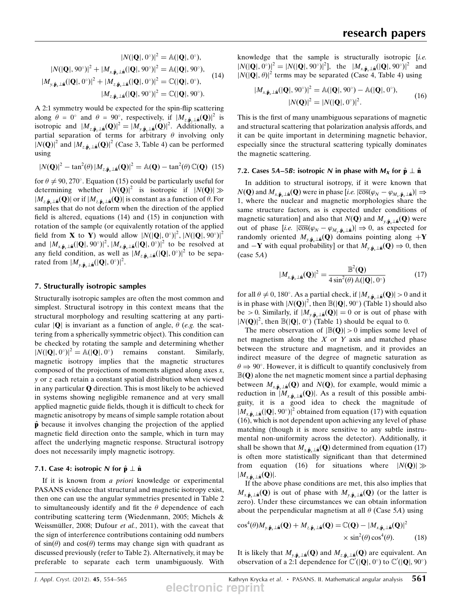$$
|N(|\mathbf{Q}|, 0^{\circ})|^2 = \mathbb{A}(|\mathbf{Q}|, 0^{\circ}),
$$
  
\n
$$
|N(|\mathbf{Q}|, 90^{\circ})|^2 + |M_{x, \hat{\mathbf{p}}_x \perp \hat{\mathbf{n}}}(|\mathbf{Q}|, 90^{\circ})|^2 = \mathbb{A}(|\mathbf{Q}|, 90^{\circ}),
$$
  
\n
$$
|M_{y, \hat{\mathbf{p}}_x \perp \hat{\mathbf{n}}}(|\mathbf{Q}|, 0^{\circ})|^2 + |M_{z, \hat{\mathbf{p}}_x \perp \hat{\mathbf{n}}}(|\mathbf{Q}|, 0^{\circ})|^2 = \mathbb{C}(|\mathbf{Q}|, 0^{\circ}),
$$
  
\n
$$
|M_{z, \hat{\mathbf{p}}_x \perp \hat{\mathbf{n}}}(|\mathbf{Q}|, 90^{\circ})|^2 = \mathbb{C}(|\mathbf{Q}|, 90^{\circ}).
$$
 (14)

A 2:1 symmetry would be expected for the spin-flip scattering along  $\theta = 0^\circ$  and  $\theta = 90^\circ$ , respectively, if  $|M_{z,\hat{\mathbf{p}}_z\perp\hat{\mathbf{n}}}(\mathbf{Q})|^2$  is isotropic and  $|M_{z,\hat{\mathbf{p}}_z\perp \hat{\mathbf{n}}}(\mathbf{Q})|^2 = |M_{y,\hat{\mathbf{p}}_x\perp \hat{\mathbf{n}}}(\mathbf{Q})|^2$ . Additionally, a<br>partial separation of terms for arbitrary  $\theta$  involving only partial separation of terms for arbitrary  $\theta$  involving only  $[N(Q)]^2$  and  $[M_{z\hat{p}+p\hat{p}}(Q)]^2$  (Case 3, Table 4) can be performed using

$$
|N(\mathbf{Q})|^2 - \tan^2(\theta) |M_{z,\hat{\mathbf{p}}_x\perp \hat{\mathbf{n}}}(\mathbf{Q})|^2 = \mathbb{A}(\mathbf{Q}) - \tan^2(\theta) \mathbb{C}(\mathbf{Q}) \tag{15}
$$

for  $\theta \neq 90, 270^{\circ}$ . Equation (15) could be particularly useful for determining whether  $|N(\mathbf{Q})|^2$  is isotropic if  $|N(\mathbf{Q})|\gg$  $|M_{z,\hat{\mathbf{n}}_x|\hat{\mathbf{n}}}(\mathbf{Q})|$  or if  $|M_{z,\hat{\mathbf{n}}_x|\hat{\mathbf{n}}}(\mathbf{Q})|$  is constant as a function of  $\theta$ . For samples that do not deform when the direction of the applied field is altered, equations (14) and (15) in conjunction with rotation of the sample (or equivalently rotation of the applied field from **X** to **Y**) would allow  $|N(|\mathbf{Q}|, 0^{\circ})|^2$ ,  $|N(|\mathbf{Q}|, 90^{\circ})|^2$ <br>and  $|M_{\text{max}}(|\mathbf{Q}|, 90^{\circ})|^2$   $|M_{\text{max}}(|\mathbf{Q}|, 0^{\circ})|^2$  to be resolved at and  $|M_{x,\hat{\mathbf{p}}_x\perp \hat{\mathbf{n}}}(|\mathbf{Q}|, 90^\circ)|^2$ ,  $|M_{x,\hat{\mathbf{p}}_x\perp \hat{\mathbf{n}}}(|\mathbf{Q}|, 0^\circ)|^2$  to be resolved at any field condition, as well as  $|M_{x,x}(|\mathbf{Q}|, 0^\circ)|^2$  to be sepaany field condition, as well as  $|M_{z,\hat{\mathbf{p}}_x\perp\hat{\mathbf{n}}}(|\mathbf{Q}|,0)$ <sup>2</sup> to be sepa-<br>rated from  $|M_{z,x}(|\mathbf{Q}|,0)$ <sup>2</sup> rated from  $|M_{y,\hat{\mathbf{p}}_x\perp\hat{\mathbf{n}}}(|\mathbf{Q}|, 0^\circ)|^2$ .

#### 7. Structurally isotropic samples

Structurally isotropic samples are often the most common and simplest. Structural isotropy in this context means that the structural morphology and resulting scattering at any particular  $|Q|$  is invariant as a function of angle,  $\theta$  (e.g. the scattering from a spherically symmetric object). This condition can be checked by rotating the sample and determining whether  $|N(|\mathbf{Q}|, 0^{\circ})|^2 = A(|\mathbf{Q}|, 0^{\circ})$  remains constant. Similarly, magnetic isotropy implies that the magnetic structures composed of the projections of moments aligned along axes  $x$ , y or z each retain a constant spatial distribution when viewed in any particular Q direction. This is most likely to be achieved in systems showing negligible remanence and at very small applied magnetic guide fields, though it is difficult to check for magnetic anisotropy by means of simple sample rotation about  $\hat{\mathbf{p}}$  because it involves changing the projection of the applied magnetic field direction onto the sample, which in turn may affect the underlying magnetic response. Structural isotropy does not necessarily imply magnetic isotropy.

#### 7.1. Case 4: isotropic N for  $\hat{\bf p} \perp \hat{\bf n}$

If it is known from a priori knowledge or experimental PASANS evidence that structural and magnetic isotropy exist, then one can use the angular symmetries presented in Table 2 to simultaneously identify and fit the  $\theta$  dependence of each contributing scattering term (Wiedenmann, 2005; Michels & Weissmüller, 2008; Dufour et al., 2011), with the caveat that the sign of interference contributions containing odd numbers of  $sin(\theta)$  and  $cos(\theta)$  terms may change sign with quadrant as discussed previously (refer to Table 2). Alternatively, it may be preferable to separate each term unambiguously. With knowledge that the sample is structurally isotropic [i.e.]  $|N(|\mathbf{Q}|, 0^{\circ})|^2 = |N(|\mathbf{Q}|, 90^{\circ})|^2$ , the  $|M_{x, \hat{\mathbf{p}}_x \perp \hat{\mathbf{n}}}(|\mathbf{Q}|, 90^{\circ})|^2$  and  $|N(|\mathbf{Q}|, \theta)|^2$  terms may be senarated (Case 4. Table 4) using  $|N(|\mathbf{Q}|, \theta)|^2$  terms may be separated (Case 4, Table 4) using

$$
|M_{x,\hat{\mathbf{p}}_x\perp \hat{\mathbf{n}}}(|\mathbf{Q}|, 90^\circ)|^2 = \mathbb{A}(|\mathbf{Q}|, 90^\circ) - \mathbb{A}(|\mathbf{Q}|, 0^\circ),
$$
  

$$
|N(\mathbf{Q})|^2 = |N(|\mathbf{Q}|, 0^\circ)|^2.
$$
 (16)

This is the first of many unambiguous separations of magnetic and structural scattering that polarization analysis affords, and it can be quite important in determining magnetic behavior, especially since the structural scattering typically dominates the magnetic scattering.

#### 7.2. Cases 5A–5B: isotropic N in phase with  $M_X$  for  $\hat{\bf p} \perp \hat{\bf n}$

In addition to structural isotropy, if it were known that  $N(\mathbf{Q})$  and  $M_{x,\hat{\mathbf{p}}_x\perp \hat{\mathbf{n}}}(\mathbf{Q})$  were in phase  $[i.e. |\overline{\cos}(\varphi_N - \varphi_{M_x,\hat{\mathbf{p}}_x\perp \hat{\mathbf{n}}})| \Rightarrow$ <br>1 where the nuclear and magnetic morphologies share the 1, where the nuclear and magnetic morphologies share the same structure factors, as is expected under conditions of magnetic saturation] and also that  $N(Q)$  and  $M_{\nu,\hat{\mathbf{p}}_{\nu}\perp\hat{\mathbf{n}}}(\mathbf{Q})$  were out of phase  $[i.e. \vert \overline{\cos}(\varphi_N - \varphi_{M_y}, \hat{\mathbf{p}}_{\lambda} \bot \hat{\mathbf{n}})] \Rightarrow 0$ , as expected for randomly oriented  $M_{\lambda}$ . (O) domains pointing along  $+\mathbf{V}$ randomly oriented  $M_{y,\hat{\mathbf{p}}_x\perp\hat{\mathbf{n}}}(\mathbf{Q})$  domains pointing along  $+\mathbf{Y}$ and  $-\mathbf{Y}$  with equal probability] or that  $M_{y, \hat{\mathbf{p}}_x \perp \hat{\mathbf{n}}}(\mathbf{Q}) \Rightarrow 0$ , then  $(\text{case } 5A)$ 

$$
|M_{x,\hat{\mathbf{p}}_x\perp\hat{\mathbf{n}}}(\mathbf{Q})|^2 = \frac{\mathbb{B}^2(\mathbf{Q})}{4\sin^2(\theta)\,\mathbb{A}(|\mathbf{Q}|,0^\circ)}
$$
(17)

for all  $\theta \neq 0$ , 180°. As a partial check, if  $|M_{x,\hat{\mathbf{p}}_x \perp \hat{\mathbf{n}}}(\mathbf{Q})| > 0$  and it is in phase with  $|N(\mathbf{Q})|^2$ , then  $\mathbb{B}(|\mathbf{Q}|, 90^\circ)$  (Table 1) should also<br>be  $\geq 0$ . Similarly, if  $|M_{\text{max}}(\mathbf{Q})| = 0$  or is out of phase with be > 0. Similarly, if  $|M_{y,\hat{\mathbf{p}}_x \perp \hat{\mathbf{n}}}(\mathbf{Q})| = 0$  or is out of phase with  $|N(\mathbf{Q})|^2$ , then  $\mathbb{B}(|\mathbf{Q}|, 0^\circ)$  (Table 1) should be equal to 0.<br>The mere observation of  $|\mathbb{B}(\mathbf{Q})| > 0$  implies some le

The mere observation of  $|\mathbb{B}(Q)| > 0$  implies some level of net magnetism along the  $X$  or  $Y$  axis and matched phase between the structure and magnetism, and it provides an indirect measure of the degree of magnetic saturation as  $\theta \Rightarrow 90^{\circ}$ . However, it is difficult to quantify conclusively from  $\mathbb{B}(\mathbf{Q})$  alone the net magnetic moment since a partial dephasing between  $M_{x,\hat{\mathbf{p}}_x\perp \hat{\mathbf{n}}}(\mathbf{Q})$  and  $N(\mathbf{Q})$ , for example, would mimic a reduction in  $[M_{x,\hat{\mathbf{p}}_x\perp \hat{\mathbf{n}}}(\mathbf{Q})]$ . As a result of this possible ambiguity, it is a good idea to check the magnitude of  $|M_{x,\hat{\mathbf{p}}_x\perp \hat{\mathbf{n}}}(|\mathbf{Q}|, 90^\circ)|^2$  obtained from equation (17) with equation (16), which is not dependent upon achieving any level of phase matching (though it is more sensitive to any subtle instrumental non-uniformity across the detector). Additionally, it shall be shown that  $M_{x,\hat{\mathbf{p}}_x\perp\hat{\mathbf{n}}}(\mathbf{Q})$  determined from equation (17) is often more statistically significant than that determined from equation (16) for situations where  $|N(\mathbf{Q})| \gg$  $|M_{x,\hat{\mathbf{p}}_x\perp \hat{\mathbf{n}}}(\mathbf{Q})|.$ 

If the above phase conditions are met, this also implies that  $M_{x,\hat{\mathbf{p}}_x\perp\hat{\mathbf{n}}}(\mathbf{Q})$  is out of phase with  $M_{y,\hat{\mathbf{p}}_x\perp\hat{\mathbf{n}}}(\mathbf{Q})$  (or the latter is zero). Under these circumstances we can obtain information about the perpendicular magnetism at all  $\theta$  (Case 5A) using

$$
\cos^{4}(\theta)M_{y,\hat{\mathbf{p}}_{x} \perp \hat{\mathbf{n}}}(\mathbf{Q}) + M_{z,\hat{\mathbf{p}}_{x} \perp \hat{\mathbf{n}}}(\mathbf{Q}) = \mathbb{C}(\mathbf{Q}) - |M_{x,\hat{\mathbf{p}}_{x} \perp \hat{\mathbf{n}}}(\mathbf{Q})|^{2} \times \sin^{2}(\theta)\cos^{4}(\theta). \tag{18}
$$

It is likely that  $M_{y,\hat{\mathbf{p}}_x\perp\hat{\mathbf{n}}}(\mathbf{Q})$  and  $M_{z,\hat{\mathbf{p}}_x\perp\hat{\mathbf{n}}}(\mathbf{Q})$  are equivalent. An observation of a 2:1 dependence for  $\mathbb{C}'(|\mathbf{Q}|, 0^{\circ})$  to  $\mathbb{C}'(|\mathbf{Q}|, 90^{\circ})$ 

*J. Appl. Cryst.* (2012). 45, 554–565 Kathryn Krycka et al. • PASANS. II. Mathematical angular analysis  $561$ **electronic reprint**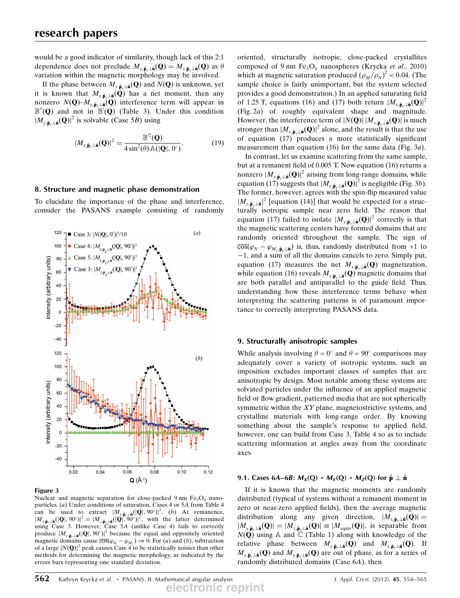would be a good indicator of similarity, though lack of this 2:1 dependence does not preclude  $M_{y, \hat{\mathbf{p}}_x \perp \hat{\mathbf{n}}}(\mathbf{Q}) = M_{z, \hat{\mathbf{p}}_x \perp \hat{\mathbf{n}}}(\mathbf{Q})$  as  $\theta$ variation within the magnetic morphology may be involved.

If the phase between  $M_{y, \hat{\mathbf{p}}_y \perp \hat{\mathbf{n}}}(Q)$  and  $N(Q)$  is unknown, yet it is known that  $M_{y,\hat{\mathbf{p}}_y\perp \hat{\mathbf{n}}}(\mathbf{Q})$  has a net moment, then any nonzero  $N(Q)$ – $M_{y,\hat{\mathbf{p}}_x\perp \hat{\mathbf{n}}}(Q)$  interference term will appear in  $\mathbb{B}''(\mathbf{Q})$  and not in  $\mathbb{B}'(\mathbf{Q})$  (Table 3). Under this condition  $\mathbb{B}(\mathbf{Q})^2$  is solvable (Case 5*R*) using  $|M_{v\hat{\mathbf{n}}}|\hat{\mathbf{n}}(\mathbf{Q})|^2$  is solvable (Case 5B) using

$$
|M_{x,\hat{\mathbf{p}}_x\perp\hat{\mathbf{n}}}(\mathbf{Q})|^2 = \frac{\mathbb{B}^2(\mathbf{Q})}{4\sin^2(\theta)\,\mathbb{A}(|\mathbf{Q}|, 0^\circ)}.
$$
 (19)

#### 8. Structure and magnetic phase demonstration

To elucidate the importance of the phase and interference, consider the PASANS example consisting of randomly



#### Figure 3

Nuclear and magnetic separation for close-packed 9 nm  $Fe<sub>3</sub>O<sub>4</sub>$  nanoparticles. (a) Under conditions of saturation, Cases 4 or 5A from Table 4 can be used to extract  $|M_{x,\hat{\mathbf{p}}_x\hat{\mathbf{n}}}(|\mathbf{Q}|, 90^\circ)|^2$ . (b) At remanence,<br> $|M_{\infty}(|\mathbf{Q}|, 90^\circ)|^2 = |M_{\infty}||\mathbf{Q}||^2||\mathbf{Q}||^2$  with the latter determined  $|M_{x,\hat{\mathbf{p}},\perp \hat{\mathbf{n}}}(|\mathbf{Q}|, 90^\circ)|^2 = |M_{z,\hat{\mathbf{p}},\perp \hat{\mathbf{n}}}(|\hat{\mathbf{Q}}|, 90^\circ)|^2$ , with the latter determined<br>using Case 3. However Case 5.4 (unlike Case 4) fails to correctly using Case 3. However, Case 5A (unlike Case 4) fails to correctly produce  $|M_{x,\hat{\mathbf{p}},\perp\hat{\mathbf{n}}}(|\mathbf{Q}|, 90^\circ)|^2$  because the equal and oppositely oriented<br>magnetic domains cause  $\overline{\cos}(a_0, -a_0) \Rightarrow 0$  For (a) and (b) subtraction magnetic domains cause  $\overline{\cos}(\varphi_N - \varphi_{M_x}) \Rightarrow 0$ . For (a) and (b), subtraction<br>of a large  $|N(\mathbf{\Omega})|^2$  peak causes Case 4 to be statistically noisier than other of a large  $|N(\mathbf{Q})|^2$  peak causes Case 4 to be statistically noisier than other methods for determining the magnetic morphology, as indicated by the errors bars representing one standard deviation.

oriented, structurally isotropic, close-packed crystallites composed of 9 nm  $Fe<sub>3</sub>O<sub>4</sub>$  nanospheres (Krycka et al., 2010) which at magnetic saturation produced  $(\rho_M/\rho_N)^2 < 0.04$ . (The sample choice is fairly unimportant, but the system selected sample choice is fairly unimportant, but the system selected provides a good demonstration.) In an applied saturating field of 1.25 T, equations (16) and (17) both return  $|M_{x\hat{\mathbf{n}}\perp\hat{\mathbf{n}}}(\mathbf{Q})|^2$ (Fig. 2a) of roughly equivalent shape and magnitude. However, the interference term of  $|N(\mathbf{Q})| |M_{x,\hat{\mathbf{p}}_x\perp \hat{\mathbf{n}}}(\mathbf{Q})|$  is much stronger than  $|M_{x,\hat{\mathbf{p}}_x\perp \hat{\mathbf{n}}}(\mathbf{Q})|^2$  alone, and the result is that the use of equation (17) produces a more statistically significant measurement than equation (16) for the same data (Fig. 3a).

In contrast, let us examine scattering from the same sample, but at a remanent field of 0.005 T. Now equation (16) returns a nonzero  $|M_{x,\hat{\mathbf{p}}_x|\hat{\mathbf{n}}}(\mathbf{Q})|^2$  arising from long-range domains, while equation (17) suggests that  $|M_{x,\hat{\mathbf{p}}_{x}|\hat{\mathbf{n}}}(\mathbf{Q})|^2$  is negligible (Fig. 3b). The former, however, agrees with the spin-flip measured value  $|M_{z,\hat{\mathbf{p}}_x\perp\hat{\mathbf{n}}}|^2$  [equation (14)] that would be expected for a struc-<br>turally isotropic sample near zero field. The reason that turally isotropic sample near zero field. The reason that equation (17) failed to isolate  $|M_{x,\hat{\mathbf{p}}_x\perp\hat{\mathbf{n}}}(\mathbf{Q})|^2$  correctly is that the magnetic scattering centers have formed domains that are randomly oriented throughout the sample. The sign of  $\overline{\cos}(\varphi_N - \varphi_{M_x, \hat{\mathbf{p}}_x \perp \hat{\mathbf{n}}})$  is, thus, randomly distributed from +1 to  $-1$  and a sum of all the domains cancels to zero. Simply put equation (17) measures the net  $M_{x,\hat{\mathbf{p}}_x \perp \hat{\mathbf{n}}}(\mathbf{Q})$  magnetization,<br>while equation (16) reveals  $M_{x,\hat{\mathbf{p}}_x \perp \hat{\mathbf{n}}}(\mathbf{Q})$  magnetic domains that  $-1$ , and a sum of all the domains cancels to zero. Simply put, while equation (16) reveals  $M_{x,\hat{\mathbf{p}}_x\perp\hat{\mathbf{n}}}(\mathbf{Q})$  magnetic domains that are both parallel and antiparallel to the guide field. Thus, understanding how these interference terms behave when interpreting the scattering patterns is of paramount importance to correctly interpreting PASANS data.

#### 9. Structurally anisotropic samples

While analysis involving  $\theta = 0^{\circ}$  and  $\theta = 90^{\circ}$  comparisons may adequately cover a variety of isotropic systems, such an imposition excludes important classes of samples that are anisotropic by design. Most notable among these systems are solvated particles under the influence of an applied magnetic field or flow gradient, patterned media that are not spherically symmetric within the XY plane, magnetostrictive systems, and crystalline materials with long-range order. By knowing something about the sample's response to applied field, however, one can build from Case 3, Table 4 so as to include scattering information at angles away from the coordinate axes.

#### 9.1. Cases 6A–6B:  $M_X(Q) = M_Y(Q) = M_Z(Q)$  for  $\hat{p} \perp \hat{n}$

If it is known that the magnetic moments are randomly distributed (typical of systems without a remanent moment in zero or near-zero applied fields), then the average magnetic distribution along any given direction,  $|M_{x,\hat{\mathbf{p}}_{x}\perp\hat{\mathbf{n}}}(\mathbf{Q})|=$  $|M_{y,\hat{\mathbf{p}}_x\perp \hat{\mathbf{n}}}(\mathbf{Q})| = |M_{z,\hat{\mathbf{p}}_x\perp \hat{\mathbf{n}}}(\mathbf{Q})| \equiv |M_{\text{equiv}}(\mathbf{Q})|$ , is separable from  $N(\widetilde{Q})$  using A and  $\widetilde{C}$  (Table 1) along with knowledge of the relative phase between  $M_{x,\hat{\mathbf{p}}_x\perp\hat{\mathbf{n}}}(\mathbf{Q})$  and  $M_{y,\hat{\mathbf{p}}_x\perp\hat{\mathbf{n}}}(\mathbf{Q})$ . If  $M_{x,\hat{\mathbf{p}}_x\perp\hat{\mathbf{n}}}(\mathbf{Q})$  and  $M_{y,\hat{\mathbf{p}}_x\perp\hat{\mathbf{n}}}(\mathbf{Q})$  are out of phase, as for a series of randomly distributed domains (Case 6A), then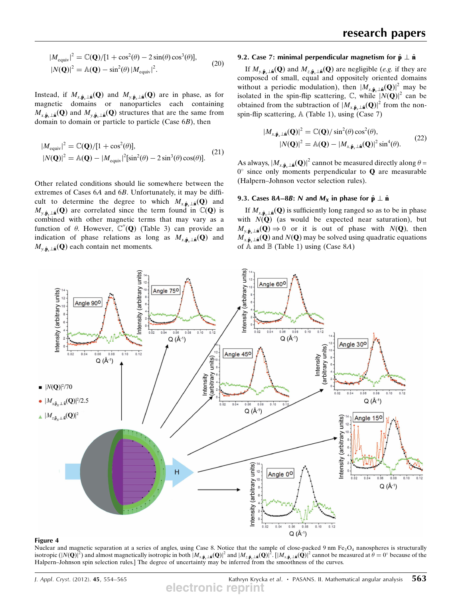$$
|M_{\text{equiv}}|^2 = \mathbb{C}(\mathbf{Q})/[1 + \cos^2(\theta) - 2\sin(\theta)\cos^3(\theta)],
$$
  
\n
$$
|N(\mathbf{Q})|^2 = \mathbb{A}(\mathbf{Q}) - \sin^2(\theta)|M_{\text{equiv}}|^2.
$$
\n(20)

Instead, if  $M_{x,\hat{\mathbf{p}}_x\perp\hat{\mathbf{n}}}(\mathbf{Q})$  and  $M_{y,\hat{\mathbf{p}}_x\perp\hat{\mathbf{n}}}(\mathbf{Q})$  are in phase, as for magnetic domains or nanoparticles each containing  $M_{x,\hat{\mathbf{p}}_x\perp\hat{\mathbf{n}}}(\mathbf{Q})$  and  $M_{y,\hat{\mathbf{p}}_x\perp\hat{\mathbf{n}}}(\mathbf{Q})$  structures that are the same from domain to domain or particle to particle (Case  $6B$ ), then

$$
|M_{\text{equiv}}|^2 = \mathbb{C}(\mathbf{Q})/[1 + \cos^2(\theta)],
$$
  
\n
$$
|N(\mathbf{Q})|^2 = \mathbb{A}(\mathbf{Q}) - |M_{\text{equiv}}|^2[\sin^2(\theta) - 2\sin^3(\theta)\cos(\theta)].
$$
\n(21)

Other related conditions should lie somewhere between the extremes of Cases 6A and 6B. Unfortunately, it may be difficult to determine the degree to which  $M_{x,\hat{\mathbf{p}}_x\perp\hat{\mathbf{n}}}(\mathbf{Q})$  and  $M_{v,\hat{\mathbf{p}}_v\perp\hat{\mathbf{n}}}(\mathbf{Q})$  are correlated since the term found in  $\mathbb{C}(\mathbf{Q})$  is combined with other magnetic terms that may vary as a function of  $\theta$ . However,  $\mathbb{C}''(\mathbf{Q})$  (Table 3) can provide an indication of phase relations as long as  $M_{x,\hat{\mathbf{p}}\perp\hat{\mathbf{n}}}(\mathbf{Q})$  and  $M_{v,\hat{\mathbf{p}}_*\perp \hat{\mathbf{n}}}(\mathbf{Q})$  each contain net moments.

#### 9.2. Case 7: minimal perpendicular magnetism for  $\hat{\mathbf{p}} \perp \hat{\mathbf{n}}$

If  $M_{y,\hat{\mathbf{p}}_x\perp\hat{\mathbf{n}}}(\mathbf{Q})$  and  $M_{z,\hat{\mathbf{p}}_x\perp\hat{\mathbf{n}}}(\mathbf{Q})$  are negligible (e.g. if they are composed of small, equal and oppositely oriented domains without a periodic modulation), then  $|M_{x,\hat{\mathbf{p}}_x\perp\hat{\mathbf{n}}}(\mathbf{Q})|^2$  may be isolated in the spin-flip scattering,  $\mathbb{C}$ , while  $|N(\mathbf{Q})|^2$  can be obtained from the subtraction of  $|M_{x,\hat{\mathbf{p}}_x+\hat{\mathbf{n}}}(\mathbf{Q})|^2$  from the nonspin-flip scattering, A (Table 1), using (Case 7)

$$
|M_{x,\hat{\mathbf{p}}_x\perp \hat{\mathbf{n}}}(\mathbf{Q})|^2 = \mathbb{C}(\mathbf{Q}) / \sin^2(\theta) \cos^2(\theta),
$$
  

$$
|N(\mathbf{Q})|^2 = \mathbb{A}(\mathbf{Q}) - |M_{x,\hat{\mathbf{p}}_x\perp \hat{\mathbf{n}}}(\mathbf{Q})|^2 \sin^4(\theta).
$$
 (22)

As always,  $|M_{x,\hat{\mathbf{p}}_x\perp \hat{\mathbf{n}}}(\mathbf{Q})|^2$  cannot be measured directly along  $\theta =$  $0^{\circ}$  since only moments perpendicular to **Q** are measurable (Halpern–Johnson vector selection rules).

#### 9.3. Cases 8A–8B: N and  $M_X$  in phase for  $\hat{\bf p} \perp \hat{\bf n}$

If  $M_{x,\hat{\mathbf{p}}_x\perp \hat{\mathbf{n}}}(\mathbf{Q})$  is sufficiently long ranged so as to be in phase with  $N(\mathbf{Q})$  (as would be expected near saturation), but  $M_{y,\hat{\mathbf{p}}_x\perp\hat{\mathbf{n}}}(Q) \Rightarrow 0$  or it is out of phase with  $N(Q)$ , then  $M_{x,\hat{\mathbf{p}}_x\perp \hat{\mathbf{n}}}(Q)$  and  $N(Q)$  may be solved using quadratic equations of  $A$  and  $B$  (Table 1) using (Case 8A)



#### Figure 4

Nuclear and magnetic separation at a series of angles, using Case 8. Notice that the sample of close-packed 9 nm  $Fe<sub>3</sub>O<sub>4</sub>$  nanospheres is structurally isotropic  $(|N(\mathbf{Q})|^2)$  and almost magnetically isotropic in both  $|M_{x,\hat{\mathbf{p}}_z\perp\hat{\mathbf{n}}}(\mathbf{Q})|^2$  and  $|M_{z,\hat{\mathbf{p}}_z\perp\hat{\mathbf{n}}}(\mathbf{Q})|^2$ .  $[|M_{x,\hat{\mathbf{p}}_z\perp\hat{\mathbf{n}}}(\mathbf{Q})|^2$  cannot be measured at  $\theta = 0^\circ$  because of the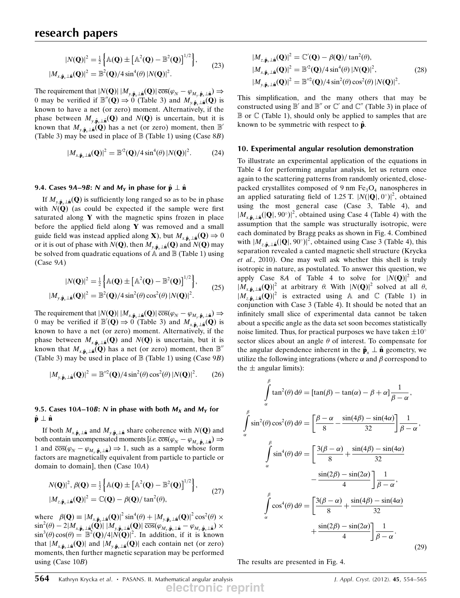$$
|N(\mathbf{Q})|^2 = \frac{1}{2} \left\{ \mathbb{A}(\mathbf{Q}) \pm \left[ \mathbb{A}^2(\mathbf{Q}) - \mathbb{B}^2(\mathbf{Q}) \right]^{1/2} \right\},
$$
  
\n
$$
|M_{x, \hat{\mathbf{p}}_x \perp \hat{\mathbf{n}}}(\mathbf{Q})|^2 = \mathbb{B}^2(\mathbf{Q})/4 \sin^4(\theta) |N(\mathbf{Q})|^2.
$$
 (23)

The requirement that  $|N(Q)| |M_{y,\hat{\mathbf{p}}_x \perp \hat{\mathbf{n}}}(\mathbf{Q})| \overline{\cos}(\varphi_N - \varphi_{M_y,\hat{\mathbf{p}}_x \perp \hat{\mathbf{n}}}) \Rightarrow$ <br>0 may be verified if  $\mathbb{R}^n(\Omega) \to 0$  (Table 3) and M<sub>1</sub>. (Q) is 0 may be verified if  $\mathbb{B}''(\mathbf{Q}) \Rightarrow 0$  (Table 3) and  $M_{v,\hat{\mathbf{p}}_r\perp\hat{\mathbf{n}}}(\mathbf{Q})$  is known to have a net (or zero) moment. Alternatively, if the phase between  $M_{v,\hat{\mathbf{p}}_r\perp \hat{\mathbf{n}}}(\mathbf{Q})$  and  $N(\mathbf{Q})$  is uncertain, but it is known that  $M_{y,\hat{\mathbf{p}}_y\perp \hat{\mathbf{n}}}(\mathbf{Q})$  has a net (or zero) moment, then  $\mathbb{B}'$ (Table 3) may be used in place of  $\mathbb B$  (Table 1) using (Case 8B)

$$
|M_{x,\hat{\mathbf{p}}_x\perp \hat{\mathbf{a}}}(\mathbf{Q})|^2 = \mathbb{B}^2(\mathbf{Q})/4 \sin^4(\theta) |N(\mathbf{Q})|^2.
$$
 (24)

#### 9.4. Cases 9A–9B: N and  $M_Y$  in phase for  $\hat{\bf p} \perp \hat{\bf n}$

If  $M_{v,\hat{\mathbf{p}}_{\alpha}\perp\hat{\mathbf{n}}}(\mathbf{Q})$  is sufficiently long ranged so as to be in phase with  $N(Q)$  (as could be expected if the sample were first saturated along  $Y$  with the magnetic spins frozen in place before the applied field along  $Y$  was removed and a small guide field was instead applied along **X**), but  $M_{x,\hat{\mathbf{p}}_x\perp \hat{\mathbf{n}}}(\mathbf{Q}) \Rightarrow 0$ or it is out of phase with  $N(Q)$ , then  $M_{\gamma, \hat{\mathbf{p}}_r \perp \hat{\mathbf{n}}}(Q)$  and  $N(Q)$  may be solved from quadratic equations of  $\widehat{A}$  and  $\mathbb B$  (Table 1) using (Case 9A)

$$
|N(\mathbf{Q})|^2 = \frac{1}{2} \left\{ \mathbb{A}(\mathbf{Q}) \pm \left[ \mathbb{A}^2(\mathbf{Q}) - \mathbb{B}^2(\mathbf{Q}) \right]^{1/2} \right\},
$$
  
\n
$$
|M_{y, \hat{\mathbf{p}}_x \perp \hat{\mathbf{a}}}(\mathbf{Q})|^2 = \mathbb{B}^2(\mathbf{Q})/4 \sin^2(\theta) \cos^2(\theta) |N(\mathbf{Q})|^2.
$$
 (25)

The requirement that  $|N(Q)| |M_{x,\hat{\mathbf{p}}_x \perp \hat{\mathbf{n}}}(\mathbf{Q})| \overline{\cos}(\varphi_N - \varphi_{M_y,\hat{\mathbf{p}}_x \perp \hat{\mathbf{n}}}) \Rightarrow$ <br>0 may be verified if  $\mathbb{R}^r(\mathbf{Q}) \rightarrow 0$  (Table 3) and M<sub>n</sub>, (Q) is 0 may be verified if  $\mathbb{B}'(\mathbf{Q}) \Rightarrow 0$  (Table 3) and  $M_{x,\hat{\mathbf{p}},\perp \hat{\mathbf{n}}}(\mathbf{Q})$  is<br>known to have a net (or zero) moment. Alternatively if the known to have a net (or zero) moment. Alternatively, if the phase between  $M_{x,\hat{\mathbf{p}}_x\perp \hat{\mathbf{n}}}(Q)$  and  $N(Q)$  is uncertain, but it is known that  $M_{x,\hat{\mathbf{p}}_x\perp \hat{\mathbf{n}}}(\mathbf{Q})$  has a net (or zero) moment, then  $\mathbb{B}^n$ (Table 3) may be used in place of  $\mathbb B$  (Table 1) using (Case 9B)

$$
|M_{y,\hat{\mathbf{p}}_x\perp \hat{\mathbf{n}}}(\mathbf{Q})|^2 = \mathbb{B}^{\prime\prime 2}(\mathbf{Q})/4 \sin^2(\theta) \cos^2(\theta) |N(\mathbf{Q})|^2. \tag{26}
$$

#### 9.5. Cases 10A–10B: N in phase with both  $M_X$  and  $M_Y$  for  $\hat{\mathbf{p}} \perp \hat{\mathbf{n}}$

If both  $M_{x,\hat{\mathbf{p}}_x\perp \hat{\mathbf{n}}}$  and  $M_{y,\hat{\mathbf{p}}_x\perp \hat{\mathbf{n}}}$  share coherence with  $N(\mathbf{Q})$  and both contain uncompensated moments  $[i.e. \overline{\cos}(\varphi_N - \varphi_{M_x}, \hat{\mathbf{p}}_{\lambda} \perp \hat{\mathbf{n}})] \Rightarrow$ <br>1 and  $\overline{\cos}(\varphi_n - \varphi_{M_x}, \hat{\mathbf{p}}_{\lambda} \perp \hat{\mathbf{n}}) \Rightarrow$ 1 and  $\overline{\cos(\varphi_N - \varphi_{M_y, \hat{\mathbf{p}}_x \perp \hat{\mathbf{n}}})} \Rightarrow 1$ , such as a sample whose form factors are magnetically equivalent from particle to particle or factors are magnetically equivalent from particle to particle or domain to domain], then (Case 10A)

$$
N(\mathbf{Q})|^2, \beta(\mathbf{Q}) = \frac{1}{2} \left\{ \mathbb{A}(\mathbf{Q}) \pm \left[ \mathbb{A}^2(\mathbf{Q}) - \mathbb{B}^2(\mathbf{Q}) \right]^{1/2} \right\},
$$
  
\n
$$
|M_{z, \hat{\mathbf{p}}_z \perp \hat{\mathbf{n}}}(\mathbf{Q})|^2 = \mathbb{C}(\mathbf{Q}) - \beta(\mathbf{Q}) / \tan^2(\theta),
$$
\n(27)

where  $\beta(\mathbf{Q}) \equiv |M_{x,\hat{\mathbf{p}}_x \cdot \hat{\mathbf{n}}}(\mathbf{Q})|^2 \sin^4(\theta) + |M_{y,\hat{\mathbf{p}}_x \cdot \hat{\mathbf{n}}}(\mathbf{Q})|^2 \cos^2(\theta) \times$ <br> $\sin^2(\theta) = 2|M_{y,\hat{\mathbf{p}}_x \cdot \hat{\mathbf{n}}}(\mathbf{Q})| |M_{y,\hat{\mathbf{n}}}(\mathbf{Q})| \cos^2(\theta)$  $\sin^2(\theta) - 2|M_{x,\hat{\mathbf{p}}_x\perp \hat{\mathbf{n}}}(\hat{\mathbf{Q}})| |M_{y,\hat{\mathbf{p}}_x\perp \hat{\mathbf{n}}}(\mathbf{Q})|\overline{\cos}(\theta_{M_x,\hat{\mathbf{p}}_x\perp \hat{\mathbf{n}}} - \theta_{M_y,\hat{\mathbf{p}}_x\perp \hat{\mathbf{n}}}) \times$ <br> $\sin^3(\theta)\cos(\theta) - \mathbb{R}^2(\mathbf{Q})/4|N(\mathbf{Q})|^2$  In addition if it is known  $\sin^3(\theta)\cos(\theta) = \mathbb{B}^2(\mathbf{Q})/4|\mathcal{N}(\mathbf{Q})|^2$ . In addition, if it is known<br>that  $|M_{\phi}(\mathbf{Q})|$  and  $|M_{\phi}(\mathbf{Q})|$  each contain net (or zero) that  $|M_{x,\hat{\mathbf{p}}_x\perp\hat{\mathbf{n}}}(\mathbf{Q})|$  and  $|M_{y,\hat{\mathbf{p}}_x\perp\hat{\mathbf{n}}}(\mathbf{Q})|$  each contain net (or zero) moments, then further magnetic separation may be performed using (Case  $10B$ )

$$
|M_{z,\hat{\mathbf{p}}_x\perp \hat{\mathbf{n}}}(\mathbf{Q})|^2 = \mathbb{C}'(\mathbf{Q}) - \beta(\mathbf{Q})/\tan^2(\theta),
$$
  
\n
$$
|M_{x,\hat{\mathbf{p}}_x\perp \hat{\mathbf{n}}}(\mathbf{Q})|^2 = \mathbb{B}^2(\mathbf{Q})/4 \sin^4(\theta) |N(\mathbf{Q})|^2,
$$
  
\n
$$
|M_{y,\hat{\mathbf{p}}_x\perp \hat{\mathbf{n}}}(\mathbf{Q})|^2 = \mathbb{B}^2(\mathbf{Q})/4 \sin^2(\theta) \cos^2(\theta) |N(\mathbf{Q})|^2.
$$
 (28)

This simplification, and the many others that may be constructed using  $\mathbb{B}'$  and  $\mathbb{B}''$  or  $\mathbb{C}'$  and  $\mathbb{C}''$  (Table 3) in place of  $\mathbb B$  or  $\mathbb C$  (Table 1), should only be applied to samples that are known to be symmetric with respect to  $\hat{\mathbf{p}}$ .

#### 10. Experimental angular resolution demonstration

To illustrate an experimental application of the equations in Table 4 for performing angular analysis, let us return once again to the scattering patterns from randomly oriented, closepacked crystallites composed of 9 nm  $Fe<sub>3</sub>O<sub>4</sub>$  nanospheres in an applied saturating field of 1.25 T.  $|N(|\mathbf{Q}|, 0^{\circ})|^2$ , obtained<br>using the most general case (Case 3, Table 4) and using the most general case (Case 3, Table 4), and  $|M_{x,\hat{\mathbf{p}}_x\perp\hat{\mathbf{n}}}(|\mathbf{Q}|, 90^\circ)|^2$ , obtained using Case 4 (Table 4) with the assumption that the sample was structurally isotropic were assumption that the sample was structurally isotropic, were each dominated by Bragg peaks as shown in Fig. 4. Combined with  $|M_{z,\hat{\mathbf{p}},\perp \hat{\mathbf{n}}}(|\mathbf{Q}|, 90^\circ)|^2$ , obtained using Case 3 (Table 4), this separation revealed a canted magnetic shell structure (Krycka et al., 2010). One may well ask whether this shell is truly isotropic in nature, as postulated. To answer this question, we apply Case 8A of Table 4 to solve for  $|N(\mathbf{Q})|^2$  and  $|M_{x,\hat{\mathbf{p}}_x\perp \hat{\mathbf{n}}}(\mathbf{Q})|^2$  at arbitrary  $\theta$ . With  $|N(\mathbf{Q})|^2$  solved at all  $\theta$ ,  $|M_{z,\hat{\mathbf{n}}_0}(\mathbf{Q})|^2$  is extracted using A and C (Table 1) in conjunction with Case 3 (Table 4). It should be noted that an infinitely small slice of experimental data cannot be taken about a specific angle as the data set soon becomes statistically noise limited. Thus, for practical purposes we have taken  $\pm 10^{\circ}$ sector slices about an angle  $\theta$  of interest. To compensate for the angular dependence inherent in the  $\hat{\mathbf{p}}_r \perp \hat{\mathbf{n}}$  geometry, we utilize the following integrations (where  $\alpha$  and  $\beta$  correspond to the  $\pm$  angular limits):

$$
\int_{\alpha}^{\beta} \tan^2(\theta) \,d\theta = [\tan(\beta) - \tan(\alpha) - \beta + \alpha] \frac{1}{\beta - \alpha},
$$
\n
$$
\int_{\alpha}^{\beta} \sin^2(\theta) \cos^2(\theta) \,d\theta = \left[ \frac{\beta - \alpha}{8} - \frac{\sin(4\beta) - \sin(4\alpha)}{32} \right] \frac{1}{\beta - \alpha},
$$
\n
$$
\int_{\alpha}^{\beta} \sin^4(\theta) \,d\theta = \left[ \frac{3(\beta - \alpha)}{8} + \frac{\sin(4\beta) - \sin(4\alpha)}{32} - \frac{\sin(2\beta) - \sin(2\alpha)}{4} \right] \frac{1}{\beta - \alpha},
$$
\n
$$
\int_{\alpha}^{\beta} \cos^4(\theta) \,d\theta = \left[ \frac{3(\beta - \alpha)}{8} + \frac{\sin(4\beta) - \sin(4\alpha)}{32} + \frac{\sin(2\beta) - \sin(2\alpha)}{4} \right] \frac{1}{\beta - \alpha}.
$$
\n(29)

The results are presented in Fig. 4.

 $\ddot{\cdot}$ 

**electronic reprint**